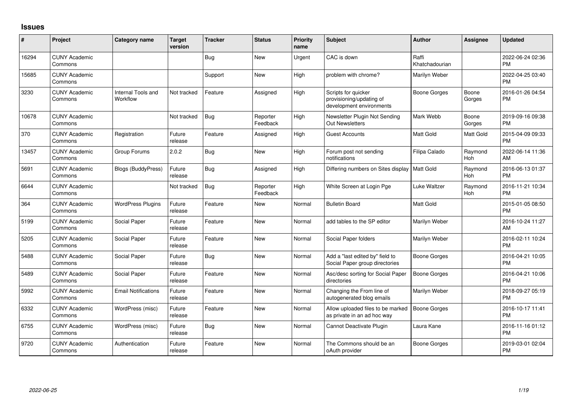## **Issues**

| $\#$  | Project                         | <b>Category name</b>           | <b>Target</b><br>version | <b>Tracker</b> | <b>Status</b>        | <b>Priority</b><br>name | <b>Subject</b>                                                              | <b>Author</b>           | <b>Assignee</b>       | <b>Updated</b>                |
|-------|---------------------------------|--------------------------------|--------------------------|----------------|----------------------|-------------------------|-----------------------------------------------------------------------------|-------------------------|-----------------------|-------------------------------|
| 16294 | <b>CUNY Academic</b><br>Commons |                                |                          | Bug            | New                  | Urgent                  | CAC is down                                                                 | Raffi<br>Khatchadourian |                       | 2022-06-24 02:36<br>PM        |
| 15685 | <b>CUNY Academic</b><br>Commons |                                |                          | Support        | <b>New</b>           | High                    | problem with chrome?                                                        | Marilyn Weber           |                       | 2022-04-25 03:40<br><b>PM</b> |
| 3230  | <b>CUNY Academic</b><br>Commons | Internal Tools and<br>Workflow | Not tracked              | Feature        | Assigned             | High                    | Scripts for quicker<br>provisioning/updating of<br>development environments | <b>Boone Gorges</b>     | Boone<br>Gorges       | 2016-01-26 04:54<br>PM        |
| 10678 | <b>CUNY Academic</b><br>Commons |                                | Not tracked              | Bug            | Reporter<br>Feedback | High                    | Newsletter Plugin Not Sending<br>Out Newsletters                            | Mark Webb               | Boone<br>Gorges       | 2019-09-16 09:38<br><b>PM</b> |
| 370   | <b>CUNY Academic</b><br>Commons | Registration                   | Future<br>release        | Feature        | Assigned             | High                    | <b>Guest Accounts</b>                                                       | Matt Gold               | Matt Gold             | 2015-04-09 09:33<br><b>PM</b> |
| 13457 | <b>CUNY Academic</b><br>Commons | Group Forums                   | 2.0.2                    | Bug            | New                  | High                    | Forum post not sending<br>notifications                                     | Filipa Calado           | Raymond<br><b>Hoh</b> | 2022-06-14 11:36<br>AM        |
| 5691  | <b>CUNY Academic</b><br>Commons | Blogs (BuddyPress)             | Future<br>release        | Bug            | Assigned             | High                    | Differing numbers on Sites display                                          | Matt Gold               | Raymond<br><b>Hoh</b> | 2016-06-13 01:37<br><b>PM</b> |
| 6644  | <b>CUNY Academic</b><br>Commons |                                | Not tracked              | <b>Bug</b>     | Reporter<br>Feedback | High                    | White Screen at Login Pge                                                   | Luke Waltzer            | Raymond<br>Hoh        | 2016-11-21 10:34<br><b>PM</b> |
| 364   | <b>CUNY Academic</b><br>Commons | <b>WordPress Plugins</b>       | Future<br>release        | Feature        | <b>New</b>           | Normal                  | <b>Bulletin Board</b>                                                       | Matt Gold               |                       | 2015-01-05 08:50<br><b>PM</b> |
| 5199  | <b>CUNY Academic</b><br>Commons | Social Paper                   | Future<br>release        | Feature        | <b>New</b>           | Normal                  | add tables to the SP editor                                                 | Marilyn Weber           |                       | 2016-10-24 11:27<br>AM        |
| 5205  | <b>CUNY Academic</b><br>Commons | Social Paper                   | Future<br>release        | Feature        | New                  | Normal                  | Social Paper folders                                                        | Marilyn Weber           |                       | 2016-02-11 10:24<br><b>PM</b> |
| 5488  | <b>CUNY Academic</b><br>Commons | Social Paper                   | Future<br>release        | Bug            | <b>New</b>           | Normal                  | Add a "last edited by" field to<br>Social Paper group directories           | <b>Boone Gorges</b>     |                       | 2016-04-21 10:05<br><b>PM</b> |
| 5489  | <b>CUNY Academic</b><br>Commons | Social Paper                   | Future<br>release        | Feature        | <b>New</b>           | Normal                  | Asc/desc sorting for Social Paper<br>directories                            | <b>Boone Gorges</b>     |                       | 2016-04-21 10:06<br><b>PM</b> |
| 5992  | <b>CUNY Academic</b><br>Commons | <b>Email Notifications</b>     | Future<br>release        | Feature        | New                  | Normal                  | Changing the From line of<br>autogenerated blog emails                      | Marilyn Weber           |                       | 2018-09-27 05:19<br><b>PM</b> |
| 6332  | <b>CUNY Academic</b><br>Commons | WordPress (misc)               | Future<br>release        | Feature        | <b>New</b>           | Normal                  | Allow uploaded files to be marked<br>as private in an ad hoc way            | Boone Gorges            |                       | 2016-10-17 11:41<br><b>PM</b> |
| 6755  | <b>CUNY Academic</b><br>Commons | WordPress (misc)               | Future<br>release        | Bug            | <b>New</b>           | Normal                  | Cannot Deactivate Plugin                                                    | Laura Kane              |                       | 2016-11-16 01:12<br><b>PM</b> |
| 9720  | <b>CUNY Academic</b><br>Commons | Authentication                 | Future<br>release        | Feature        | New                  | Normal                  | The Commons should be an<br>oAuth provider                                  | Boone Gorges            |                       | 2019-03-01 02:04<br><b>PM</b> |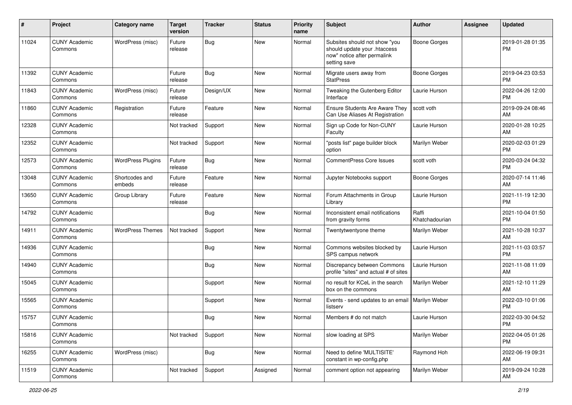| #     | Project                         | <b>Category name</b>     | Target<br>version | <b>Tracker</b> | <b>Status</b> | <b>Priority</b><br>name | <b>Subject</b>                                                                                               | Author                  | <b>Assignee</b> | <b>Updated</b>                |
|-------|---------------------------------|--------------------------|-------------------|----------------|---------------|-------------------------|--------------------------------------------------------------------------------------------------------------|-------------------------|-----------------|-------------------------------|
| 11024 | <b>CUNY Academic</b><br>Commons | WordPress (misc)         | Future<br>release | <b>Bug</b>     | <b>New</b>    | Normal                  | Subsites should not show "you<br>should update your .htaccess<br>now" notice after permalink<br>setting save | <b>Boone Gorges</b>     |                 | 2019-01-28 01:35<br><b>PM</b> |
| 11392 | <b>CUNY Academic</b><br>Commons |                          | Future<br>release | <b>Bug</b>     | <b>New</b>    | Normal                  | Migrate users away from<br><b>StatPress</b>                                                                  | <b>Boone Gorges</b>     |                 | 2019-04-23 03:53<br><b>PM</b> |
| 11843 | <b>CUNY Academic</b><br>Commons | WordPress (misc)         | Future<br>release | Design/UX      | New           | Normal                  | Tweaking the Gutenberg Editor<br>Interface                                                                   | Laurie Hurson           |                 | 2022-04-26 12:00<br><b>PM</b> |
| 11860 | <b>CUNY Academic</b><br>Commons | Registration             | Future<br>release | Feature        | New           | Normal                  | Ensure Students Are Aware They<br>Can Use Aliases At Registration                                            | scott voth              |                 | 2019-09-24 08:46<br>AM        |
| 12328 | <b>CUNY Academic</b><br>Commons |                          | Not tracked       | Support        | <b>New</b>    | Normal                  | Sign up Code for Non-CUNY<br>Faculty                                                                         | Laurie Hurson           |                 | 2020-01-28 10:25<br>AM        |
| 12352 | <b>CUNY Academic</b><br>Commons |                          | Not tracked       | Support        | <b>New</b>    | Normal                  | 'posts list" page builder block<br>option                                                                    | Marilyn Weber           |                 | 2020-02-03 01:29<br><b>PM</b> |
| 12573 | <b>CUNY Academic</b><br>Commons | <b>WordPress Plugins</b> | Future<br>release | <b>Bug</b>     | New           | Normal                  | <b>CommentPress Core Issues</b>                                                                              | scott voth              |                 | 2020-03-24 04:32<br><b>PM</b> |
| 13048 | <b>CUNY Academic</b><br>Commons | Shortcodes and<br>embeds | Future<br>release | Feature        | New           | Normal                  | Jupyter Notebooks support                                                                                    | <b>Boone Gorges</b>     |                 | 2020-07-14 11:46<br>AM        |
| 13650 | <b>CUNY Academic</b><br>Commons | Group Library            | Future<br>release | Feature        | <b>New</b>    | Normal                  | Forum Attachments in Group<br>Library                                                                        | Laurie Hurson           |                 | 2021-11-19 12:30<br><b>PM</b> |
| 14792 | <b>CUNY Academic</b><br>Commons |                          |                   | <b>Bug</b>     | <b>New</b>    | Normal                  | Inconsistent email notifications<br>from gravity forms                                                       | Raffi<br>Khatchadourian |                 | 2021-10-04 01:50<br><b>PM</b> |
| 14911 | <b>CUNY Academic</b><br>Commons | <b>WordPress Themes</b>  | Not tracked       | Support        | New           | Normal                  | Twentytwentyone theme                                                                                        | Marilyn Weber           |                 | 2021-10-28 10:37<br>AM        |
| 14936 | <b>CUNY Academic</b><br>Commons |                          |                   | <b>Bug</b>     | New           | Normal                  | Commons websites blocked by<br>SPS campus network                                                            | Laurie Hurson           |                 | 2021-11-03 03:57<br><b>PM</b> |
| 14940 | <b>CUNY Academic</b><br>Commons |                          |                   | Bug            | <b>New</b>    | Normal                  | Discrepancy between Commons<br>profile "sites" and actual # of sites                                         | Laurie Hurson           |                 | 2021-11-08 11:09<br>AM        |
| 15045 | <b>CUNY Academic</b><br>Commons |                          |                   | Support        | <b>New</b>    | Normal                  | no result for KCeL in the search<br>box on the commons                                                       | Marilyn Weber           |                 | 2021-12-10 11:29<br>AM        |
| 15565 | <b>CUNY Academic</b><br>Commons |                          |                   | Support        | New           | Normal                  | Events - send updates to an email   Marilyn Weber<br>listserv                                                |                         |                 | 2022-03-10 01:06<br><b>PM</b> |
| 15757 | <b>CUNY Academic</b><br>Commons |                          |                   | <b>Bug</b>     | New           | Normal                  | Members # do not match                                                                                       | Laurie Hurson           |                 | 2022-03-30 04:52<br>PM        |
| 15816 | <b>CUNY Academic</b><br>Commons |                          | Not tracked       | Support        | New           | Normal                  | slow loading at SPS                                                                                          | Marilyn Weber           |                 | 2022-04-05 01:26<br>PM        |
| 16255 | <b>CUNY Academic</b><br>Commons | WordPress (misc)         |                   | <b>Bug</b>     | New           | Normal                  | Need to define 'MULTISITE'<br>constant in wp-config.php                                                      | Raymond Hoh             |                 | 2022-06-19 09:31<br>AM        |
| 11519 | <b>CUNY Academic</b><br>Commons |                          | Not tracked       | Support        | Assigned      | Normal                  | comment option not appearing                                                                                 | Marilyn Weber           |                 | 2019-09-24 10:28<br>AM        |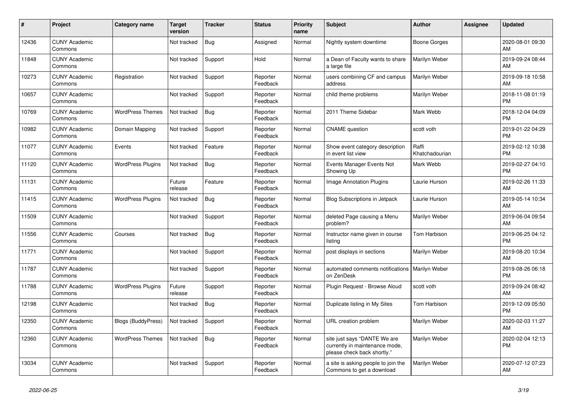| #     | Project                         | <b>Category name</b>     | <b>Target</b><br>version | <b>Tracker</b> | <b>Status</b>        | <b>Priority</b><br>name | <b>Subject</b>                                                                                | <b>Author</b>           | <b>Assignee</b> | <b>Updated</b>                |
|-------|---------------------------------|--------------------------|--------------------------|----------------|----------------------|-------------------------|-----------------------------------------------------------------------------------------------|-------------------------|-----------------|-------------------------------|
| 12436 | <b>CUNY Academic</b><br>Commons |                          | Not tracked              | <b>Bug</b>     | Assigned             | Normal                  | Nightly system downtime                                                                       | Boone Gorges            |                 | 2020-08-01 09:30<br>AM        |
| 11848 | <b>CUNY Academic</b><br>Commons |                          | Not tracked              | Support        | Hold                 | Normal                  | a Dean of Faculty wants to share<br>a large file                                              | Marilyn Weber           |                 | 2019-09-24 08:44<br>AM        |
| 10273 | <b>CUNY Academic</b><br>Commons | Registration             | Not tracked              | Support        | Reporter<br>Feedback | Normal                  | users combining CF and campus<br>address                                                      | Marilyn Weber           |                 | 2019-09-18 10:58<br>AM        |
| 10657 | <b>CUNY Academic</b><br>Commons |                          | Not tracked              | Support        | Reporter<br>Feedback | Normal                  | child theme problems                                                                          | Marilyn Weber           |                 | 2018-11-08 01:19<br><b>PM</b> |
| 10769 | <b>CUNY Academic</b><br>Commons | <b>WordPress Themes</b>  | Not tracked              | Bug            | Reporter<br>Feedback | Normal                  | 2011 Theme Sidebar                                                                            | Mark Webb               |                 | 2018-12-04 04:09<br><b>PM</b> |
| 10982 | <b>CUNY Academic</b><br>Commons | Domain Mapping           | Not tracked              | Support        | Reporter<br>Feedback | Normal                  | <b>CNAME</b> question                                                                         | scott voth              |                 | 2019-01-22 04:29<br><b>PM</b> |
| 11077 | <b>CUNY Academic</b><br>Commons | Events                   | Not tracked              | Feature        | Reporter<br>Feedback | Normal                  | Show event category description<br>in event list view                                         | Raffi<br>Khatchadourian |                 | 2019-02-12 10:38<br><b>PM</b> |
| 11120 | <b>CUNY Academic</b><br>Commons | <b>WordPress Plugins</b> | Not tracked              | Bug            | Reporter<br>Feedback | Normal                  | Events Manager Events Not<br>Showing Up                                                       | Mark Webb               |                 | 2019-02-27 04:10<br><b>PM</b> |
| 11131 | <b>CUNY Academic</b><br>Commons |                          | Future<br>release        | Feature        | Reporter<br>Feedback | Normal                  | <b>Image Annotation Plugins</b>                                                               | Laurie Hurson           |                 | 2019-02-26 11:33<br>AM        |
| 11415 | <b>CUNY Academic</b><br>Commons | <b>WordPress Plugins</b> | Not tracked              | <b>Bug</b>     | Reporter<br>Feedback | Normal                  | <b>Blog Subscriptions in Jetpack</b>                                                          | Laurie Hurson           |                 | 2019-05-14 10:34<br>AM        |
| 11509 | <b>CUNY Academic</b><br>Commons |                          | Not tracked              | Support        | Reporter<br>Feedback | Normal                  | deleted Page causing a Menu<br>problem?                                                       | Marilyn Weber           |                 | 2019-06-04 09:54<br>AM        |
| 11556 | <b>CUNY Academic</b><br>Commons | Courses                  | Not tracked              | <b>Bug</b>     | Reporter<br>Feedback | Normal                  | Instructor name given in course<br>listing                                                    | Tom Harbison            |                 | 2019-06-25 04:12<br><b>PM</b> |
| 11771 | <b>CUNY Academic</b><br>Commons |                          | Not tracked              | Support        | Reporter<br>Feedback | Normal                  | post displays in sections                                                                     | Marilyn Weber           |                 | 2019-08-20 10:34<br>AM        |
| 11787 | <b>CUNY Academic</b><br>Commons |                          | Not tracked              | Support        | Reporter<br>Feedback | Normal                  | automated comments notifications   Marilyn Weber<br>on ZenDesk                                |                         |                 | 2019-08-26 06:18<br><b>PM</b> |
| 11788 | <b>CUNY Academic</b><br>Commons | <b>WordPress Plugins</b> | Future<br>release        | Support        | Reporter<br>Feedback | Normal                  | Plugin Request - Browse Aloud                                                                 | scott voth              |                 | 2019-09-24 08:42<br>AM        |
| 12198 | <b>CUNY Academic</b><br>Commons |                          | Not tracked              | Bug            | Reporter<br>Feedback | Normal                  | Duplicate listing in My Sites                                                                 | Tom Harbison            |                 | 2019-12-09 05:50<br><b>PM</b> |
| 12350 | <b>CUNY Academic</b><br>Commons | Blogs (BuddyPress)       | Not tracked              | Support        | Reporter<br>Feedback | Normal                  | URL creation problem                                                                          | Marilyn Weber           |                 | 2020-02-03 11:27<br>AM        |
| 12360 | <b>CUNY Academic</b><br>Commons | <b>WordPress Themes</b>  | Not tracked              | <b>Bug</b>     | Reporter<br>Feedback | Normal                  | site just says "DANTE We are<br>currently in maintenance mode,<br>please check back shortly." | Marilyn Weber           |                 | 2020-02-04 12:13<br><b>PM</b> |
| 13034 | <b>CUNY Academic</b><br>Commons |                          | Not tracked              | Support        | Reporter<br>Feedback | Normal                  | a site is asking people to join the<br>Commons to get a download                              | Marilyn Weber           |                 | 2020-07-12 07:23<br>AM        |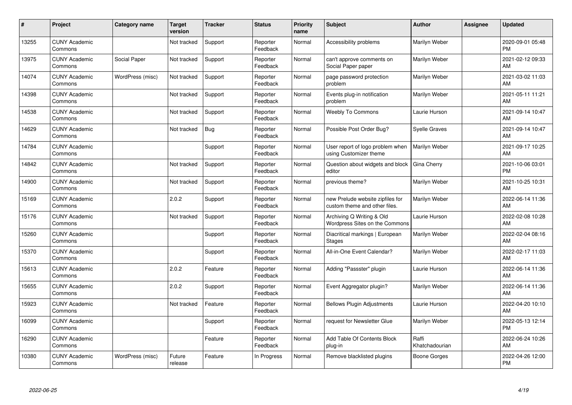| #     | Project                         | <b>Category name</b> | <b>Target</b><br>version | <b>Tracker</b> | <b>Status</b>        | <b>Priority</b><br>name | <b>Subject</b>                                                    | Author                  | <b>Assignee</b> | <b>Updated</b>                |
|-------|---------------------------------|----------------------|--------------------------|----------------|----------------------|-------------------------|-------------------------------------------------------------------|-------------------------|-----------------|-------------------------------|
| 13255 | <b>CUNY Academic</b><br>Commons |                      | Not tracked              | Support        | Reporter<br>Feedback | Normal                  | Accessibility problems                                            | Marilyn Weber           |                 | 2020-09-01 05:48<br><b>PM</b> |
| 13975 | <b>CUNY Academic</b><br>Commons | Social Paper         | Not tracked              | Support        | Reporter<br>Feedback | Normal                  | can't approve comments on<br>Social Paper paper                   | Marilyn Weber           |                 | 2021-02-12 09:33<br>AM        |
| 14074 | <b>CUNY Academic</b><br>Commons | WordPress (misc)     | Not tracked              | Support        | Reporter<br>Feedback | Normal                  | page password protection<br>problem                               | Marilyn Weber           |                 | 2021-03-02 11:03<br>AM        |
| 14398 | <b>CUNY Academic</b><br>Commons |                      | Not tracked              | Support        | Reporter<br>Feedback | Normal                  | Events plug-in notification<br>problem                            | Marilyn Weber           |                 | 2021-05-11 11:21<br>AM        |
| 14538 | <b>CUNY Academic</b><br>Commons |                      | Not tracked              | Support        | Reporter<br>Feedback | Normal                  | <b>Weebly To Commons</b>                                          | Laurie Hurson           |                 | 2021-09-14 10:47<br>AM        |
| 14629 | <b>CUNY Academic</b><br>Commons |                      | Not tracked              | Bug            | Reporter<br>Feedback | Normal                  | Possible Post Order Bug?                                          | Syelle Graves           |                 | 2021-09-14 10:47<br>AM        |
| 14784 | <b>CUNY Academic</b><br>Commons |                      |                          | Support        | Reporter<br>Feedback | Normal                  | User report of logo problem when<br>using Customizer theme        | Marilyn Weber           |                 | 2021-09-17 10:25<br>AM        |
| 14842 | <b>CUNY Academic</b><br>Commons |                      | Not tracked              | Support        | Reporter<br>Feedback | Normal                  | Question about widgets and block<br>editor                        | Gina Cherry             |                 | 2021-10-06 03:01<br><b>PM</b> |
| 14900 | <b>CUNY Academic</b><br>Commons |                      | Not tracked              | Support        | Reporter<br>Feedback | Normal                  | previous theme?                                                   | Marilyn Weber           |                 | 2021-10-25 10:31<br>AM        |
| 15169 | <b>CUNY Academic</b><br>Commons |                      | 2.0.2                    | Support        | Reporter<br>Feedback | Normal                  | new Prelude website zipfiles for<br>custom theme and other files. | Marilyn Weber           |                 | 2022-06-14 11:36<br>AM        |
| 15176 | <b>CUNY Academic</b><br>Commons |                      | Not tracked              | Support        | Reporter<br>Feedback | Normal                  | Archiving Q Writing & Old<br>Wordpress Sites on the Commons       | Laurie Hurson           |                 | 2022-02-08 10:28<br>AM        |
| 15260 | <b>CUNY Academic</b><br>Commons |                      |                          | Support        | Reporter<br>Feedback | Normal                  | Diacritical markings   European<br><b>Stages</b>                  | Marilyn Weber           |                 | 2022-02-04 08:16<br>AM        |
| 15370 | <b>CUNY Academic</b><br>Commons |                      |                          | Support        | Reporter<br>Feedback | Normal                  | All-in-One Event Calendar?                                        | Marilyn Weber           |                 | 2022-02-17 11:03<br>AM        |
| 15613 | <b>CUNY Academic</b><br>Commons |                      | 2.0.2                    | Feature        | Reporter<br>Feedback | Normal                  | Adding "Passster" plugin                                          | Laurie Hurson           |                 | 2022-06-14 11:36<br>AM        |
| 15655 | <b>CUNY Academic</b><br>Commons |                      | 2.0.2                    | Support        | Reporter<br>Feedback | Normal                  | Event Aggregator plugin?                                          | Marilyn Weber           |                 | 2022-06-14 11:36<br>AM        |
| 15923 | <b>CUNY Academic</b><br>Commons |                      | Not tracked              | Feature        | Reporter<br>Feedback | Normal                  | <b>Bellows Plugin Adjustments</b>                                 | Laurie Hurson           |                 | 2022-04-20 10:10<br>AM        |
| 16099 | <b>CUNY Academic</b><br>Commons |                      |                          | Support        | Reporter<br>Feedback | Normal                  | request for Newsletter Glue                                       | Marilyn Weber           |                 | 2022-05-13 12:14<br><b>PM</b> |
| 16290 | <b>CUNY Academic</b><br>Commons |                      |                          | Feature        | Reporter<br>Feedback | Normal                  | Add Table Of Contents Block<br>plug-in                            | Raffi<br>Khatchadourian |                 | 2022-06-24 10:26<br>AM        |
| 10380 | <b>CUNY Academic</b><br>Commons | WordPress (misc)     | Future<br>release        | Feature        | In Progress          | Normal                  | Remove blacklisted plugins                                        | Boone Gorges            |                 | 2022-04-26 12:00<br><b>PM</b> |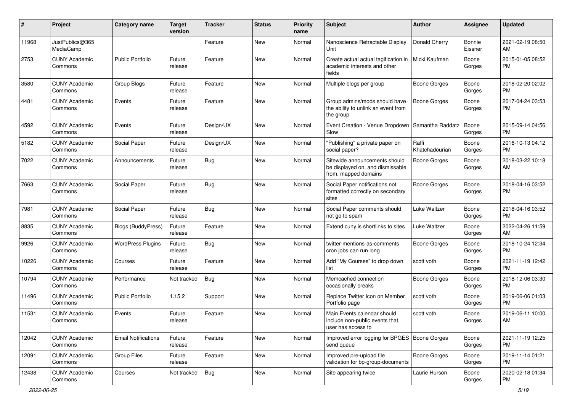| #     | Project                         | <b>Category name</b>       | Target<br>version | Tracker    | <b>Status</b> | <b>Priority</b><br>name | <b>Subject</b>                                                                            | <b>Author</b>           | <b>Assignee</b>   | <b>Updated</b>                |
|-------|---------------------------------|----------------------------|-------------------|------------|---------------|-------------------------|-------------------------------------------------------------------------------------------|-------------------------|-------------------|-------------------------------|
| 11968 | JustPublics@365<br>MediaCamp    |                            |                   | Feature    | <b>New</b>    | Normal                  | Nanoscience Retractable Display<br>Unit                                                   | Donald Cherry           | Bonnie<br>Eissner | 2021-02-19 08:50<br>AM        |
| 2753  | <b>CUNY Academic</b><br>Commons | <b>Public Portfolio</b>    | Future<br>release | Feature    | New           | Normal                  | Create actual actual tagification in<br>academic interests and other<br>fields            | Micki Kaufman           | Boone<br>Gorges   | 2015-01-05 08:52<br><b>PM</b> |
| 3580  | <b>CUNY Academic</b><br>Commons | Group Blogs                | Future<br>release | Feature    | New           | Normal                  | Multiple blogs per group                                                                  | <b>Boone Gorges</b>     | Boone<br>Gorges   | 2018-02-20 02:02<br><b>PM</b> |
| 4481  | <b>CUNY Academic</b><br>Commons | Events                     | Future<br>release | Feature    | New           | Normal                  | Group admins/mods should have<br>the ability to unlink an event from<br>the group         | <b>Boone Gorges</b>     | Boone<br>Gorges   | 2017-04-24 03:53<br><b>PM</b> |
| 4592  | <b>CUNY Academic</b><br>Commons | Events                     | Future<br>release | Design/UX  | New           | Normal                  | Event Creation - Venue Dropdown<br>Slow                                                   | Samantha Raddatz        | Boone<br>Gorges   | 2015-09-14 04:56<br><b>PM</b> |
| 5182  | <b>CUNY Academic</b><br>Commons | Social Paper               | Future<br>release | Design/UX  | <b>New</b>    | Normal                  | "Publishing" a private paper on<br>social paper?                                          | Raffi<br>Khatchadourian | Boone<br>Gorges   | 2016-10-13 04:12<br><b>PM</b> |
| 7022  | <b>CUNY Academic</b><br>Commons | Announcements              | Future<br>release | <b>Bug</b> | <b>New</b>    | Normal                  | Sitewide announcements should<br>be displayed on, and dismissable<br>from, mapped domains | Boone Gorges            | Boone<br>Gorges   | 2018-03-22 10:18<br>AM        |
| 7663  | <b>CUNY Academic</b><br>Commons | Social Paper               | Future<br>release | Bug        | <b>New</b>    | Normal                  | Social Paper notifications not<br>formatted correctly on secondary<br>sites               | Boone Gorges            | Boone<br>Gorges   | 2018-04-16 03:52<br><b>PM</b> |
| 7981  | <b>CUNY Academic</b><br>Commons | Social Paper               | Future<br>release | Bug        | <b>New</b>    | Normal                  | Social Paper comments should<br>not go to spam                                            | Luke Waltzer            | Boone<br>Gorges   | 2018-04-16 03:52<br><b>PM</b> |
| 8835  | <b>CUNY Academic</b><br>Commons | <b>Blogs (BuddyPress)</b>  | Future<br>release | Feature    | <b>New</b>    | Normal                  | Extend cuny.is shortlinks to sites                                                        | Luke Waltzer            | Boone<br>Gorges   | 2022-04-26 11:59<br>AM        |
| 9926  | <b>CUNY Academic</b><br>Commons | <b>WordPress Plugins</b>   | Future<br>release | <b>Bug</b> | New           | Normal                  | twitter-mentions-as-comments<br>cron jobs can run long                                    | <b>Boone Gorges</b>     | Boone<br>Gorges   | 2018-10-24 12:34<br><b>PM</b> |
| 10226 | <b>CUNY Academic</b><br>Commons | Courses                    | Future<br>release | Feature    | New           | Normal                  | Add "My Courses" to drop down<br>list                                                     | scott voth              | Boone<br>Gorges   | 2021-11-19 12:42<br><b>PM</b> |
| 10794 | <b>CUNY Academic</b><br>Commons | Performance                | Not tracked       | <b>Bug</b> | <b>New</b>    | Normal                  | Memcached connection<br>occasionally breaks                                               | <b>Boone Gorges</b>     | Boone<br>Gorges   | 2018-12-06 03:30<br><b>PM</b> |
| 11496 | <b>CUNY Academic</b><br>Commons | Public Portfolio           | 1.15.2            | Support    | New           | Normal                  | Replace Twitter Icon on Member<br>Portfolio page                                          | scott voth              | Boone<br>Gorges   | 2019-06-06 01:03<br><b>PM</b> |
| 11531 | <b>CUNY Academic</b><br>Commons | Events                     | Future<br>release | Feature    | New           | Normal                  | Main Events calendar should<br>include non-public events that<br>user has access to       | scott voth              | Boone<br>Gorges   | 2019-06-11 10:00<br>AM        |
| 12042 | <b>CUNY Academic</b><br>Commons | <b>Email Notifications</b> | Future<br>release | Feature    | New           | Normal                  | Improved error logging for BPGES   Boone Gorges<br>send queue                             |                         | Boone<br>Gorges   | 2021-11-19 12:25<br><b>PM</b> |
| 12091 | <b>CUNY Academic</b><br>Commons | <b>Group Files</b>         | Future<br>release | Feature    | New           | Normal                  | Improved pre-upload file<br>validation for bp-group-documents                             | Boone Gorges            | Boone<br>Gorges   | 2019-11-14 01:21<br><b>PM</b> |
| 12438 | <b>CUNY Academic</b><br>Commons | Courses                    | Not tracked       | Bug        | New           | Normal                  | Site appearing twice                                                                      | Laurie Hurson           | Boone<br>Gorges   | 2020-02-18 01:34<br>PM        |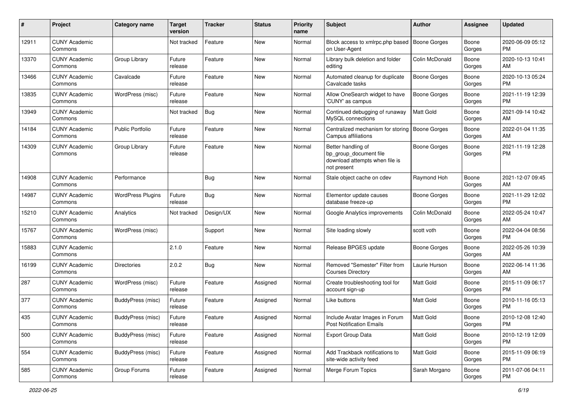| #     | Project                         | <b>Category name</b>     | <b>Target</b><br>version | <b>Tracker</b> | <b>Status</b> | <b>Priority</b><br>name | Subject                                                                                       | Author              | Assignee        | <b>Updated</b>                |
|-------|---------------------------------|--------------------------|--------------------------|----------------|---------------|-------------------------|-----------------------------------------------------------------------------------------------|---------------------|-----------------|-------------------------------|
| 12911 | <b>CUNY Academic</b><br>Commons |                          | Not tracked              | Feature        | <b>New</b>    | Normal                  | Block access to xmlrpc.php based<br>on User-Agent                                             | Boone Gorges        | Boone<br>Gorges | 2020-06-09 05:12<br>PM        |
| 13370 | <b>CUNY Academic</b><br>Commons | Group Library            | Future<br>release        | Feature        | <b>New</b>    | Normal                  | Library bulk deletion and folder<br>editing                                                   | Colin McDonald      | Boone<br>Gorges | 2020-10-13 10:41<br>AM        |
| 13466 | <b>CUNY Academic</b><br>Commons | Cavalcade                | Future<br>release        | Feature        | New           | Normal                  | Automated cleanup for duplicate<br>Cavalcade tasks                                            | <b>Boone Gorges</b> | Boone<br>Gorges | 2020-10-13 05:24<br>PM        |
| 13835 | <b>CUNY Academic</b><br>Commons | WordPress (misc)         | Future<br>release        | Feature        | New           | Normal                  | Allow OneSearch widget to have<br>'CUNY' as campus                                            | Boone Gorges        | Boone<br>Gorges | 2021-11-19 12:39<br>PM        |
| 13949 | <b>CUNY Academic</b><br>Commons |                          | Not tracked              | Bug            | New           | Normal                  | Continued debugging of runaway<br>MySQL connections                                           | Matt Gold           | Boone<br>Gorges | 2021-09-14 10:42<br>AM        |
| 14184 | <b>CUNY Academic</b><br>Commons | <b>Public Portfolio</b>  | Future<br>release        | Feature        | New           | Normal                  | Centralized mechanism for storing<br><b>Campus affiliations</b>                               | Boone Gorges        | Boone<br>Gorges | 2022-01-04 11:35<br>AM        |
| 14309 | <b>CUNY Academic</b><br>Commons | Group Library            | Future<br>release        | Feature        | New           | Normal                  | Better handling of<br>bp_group_document file<br>download attempts when file is<br>not present | <b>Boone Gorges</b> | Boone<br>Gorges | 2021-11-19 12:28<br>PM        |
| 14908 | <b>CUNY Academic</b><br>Commons | Performance              |                          | Bug            | <b>New</b>    | Normal                  | Stale object cache on cdev                                                                    | Raymond Hoh         | Boone<br>Gorges | 2021-12-07 09:45<br>AM        |
| 14987 | <b>CUNY Academic</b><br>Commons | <b>WordPress Plugins</b> | Future<br>release        | Bug            | New           | Normal                  | Elementor update causes<br>database freeze-up                                                 | <b>Boone Gorges</b> | Boone<br>Gorges | 2021-11-29 12:02<br>PM        |
| 15210 | <b>CUNY Academic</b><br>Commons | Analytics                | Not tracked              | Design/UX      | New           | Normal                  | Google Analytics improvements                                                                 | Colin McDonald      | Boone<br>Gorges | 2022-05-24 10:47<br>AM        |
| 15767 | <b>CUNY Academic</b><br>Commons | WordPress (misc)         |                          | Support        | <b>New</b>    | Normal                  | Site loading slowly                                                                           | scott voth          | Boone<br>Gorges | 2022-04-04 08:56<br>PM        |
| 15883 | <b>CUNY Academic</b><br>Commons |                          | 2.1.0                    | Feature        | <b>New</b>    | Normal                  | Release BPGES update                                                                          | <b>Boone Gorges</b> | Boone<br>Gorges | 2022-05-26 10:39<br>AM        |
| 16199 | <b>CUNY Academic</b><br>Commons | Directories              | 2.0.2                    | Bug            | New           | Normal                  | Removed "Semester" Filter from<br><b>Courses Directory</b>                                    | Laurie Hurson       | Boone<br>Gorges | 2022-06-14 11:36<br>AM        |
| 287   | <b>CUNY Academic</b><br>Commons | WordPress (misc)         | Future<br>release        | Feature        | Assigned      | Normal                  | Create troubleshooting tool for<br>account sign-up                                            | <b>Matt Gold</b>    | Boone<br>Gorges | 2015-11-09 06:17<br>PM        |
| 377   | <b>CUNY Academic</b><br>Commons | BuddyPress (misc)        | Future<br>release        | Feature        | Assigned      | Normal                  | Like buttons                                                                                  | Matt Gold           | Boone<br>Gorges | 2010-11-16 05:13<br>PM        |
| 435   | <b>CUNY Academic</b><br>Commons | BuddyPress (misc)        | Future<br>release        | Feature        | Assigned      | Normal                  | Include Avatar Images in Forum<br><b>Post Notification Emails</b>                             | Matt Gold           | Boone<br>Gorges | 2010-12-08 12:40<br>PM        |
| 500   | <b>CUNY Academic</b><br>Commons | BuddyPress (misc)        | Future<br>release        | Feature        | Assigned      | Normal                  | <b>Export Group Data</b>                                                                      | Matt Gold           | Boone<br>Gorges | 2010-12-19 12:09<br>PM        |
| 554   | <b>CUNY Academic</b><br>Commons | BuddyPress (misc)        | Future<br>release        | Feature        | Assigned      | Normal                  | Add Trackback notifications to<br>site-wide activity feed                                     | Matt Gold           | Boone<br>Gorges | 2015-11-09 06:19<br>PM        |
| 585   | <b>CUNY Academic</b><br>Commons | Group Forums             | Future<br>release        | Feature        | Assigned      | Normal                  | Merge Forum Topics                                                                            | Sarah Morgano       | Boone<br>Gorges | 2011-07-06 04:11<br><b>PM</b> |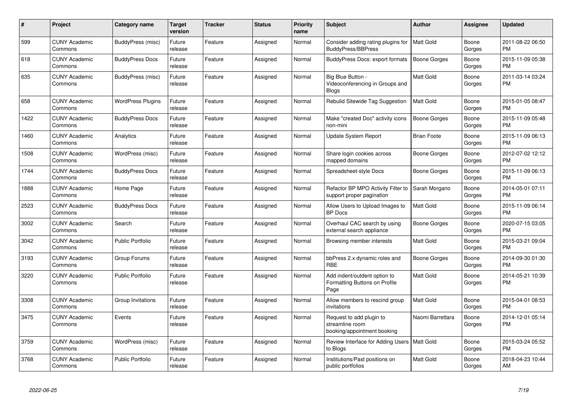| #    | Project                         | <b>Category name</b>     | Target<br>version | <b>Tracker</b> | <b>Status</b> | <b>Priority</b><br>name | <b>Subject</b>                                                             | <b>Author</b>       | <b>Assignee</b> | <b>Updated</b>                |
|------|---------------------------------|--------------------------|-------------------|----------------|---------------|-------------------------|----------------------------------------------------------------------------|---------------------|-----------------|-------------------------------|
| 599  | <b>CUNY Academic</b><br>Commons | BuddyPress (misc)        | Future<br>release | Feature        | Assigned      | Normal                  | Consider adding rating plugins for<br>BuddyPress/BBPress                   | <b>Matt Gold</b>    | Boone<br>Gorges | 2011-08-22 06:50<br><b>PM</b> |
| 618  | <b>CUNY Academic</b><br>Commons | <b>BuddyPress Docs</b>   | Future<br>release | Feature        | Assigned      | Normal                  | BuddyPress Docs: export formats                                            | <b>Boone Gorges</b> | Boone<br>Gorges | 2015-11-09 05:38<br><b>PM</b> |
| 635  | <b>CUNY Academic</b><br>Commons | BuddyPress (misc)        | Future<br>release | Feature        | Assigned      | Normal                  | Big Blue Button -<br>Videoconferencing in Groups and<br><b>Blogs</b>       | Matt Gold           | Boone<br>Gorges | 2011-03-14 03:24<br><b>PM</b> |
| 658  | <b>CUNY Academic</b><br>Commons | <b>WordPress Plugins</b> | Future<br>release | Feature        | Assigned      | Normal                  | Rebulid Sitewide Tag Suggestion                                            | <b>Matt Gold</b>    | Boone<br>Gorges | 2015-01-05 08:47<br><b>PM</b> |
| 1422 | <b>CUNY Academic</b><br>Commons | <b>BuddyPress Docs</b>   | Future<br>release | Feature        | Assigned      | Normal                  | Make "created Doc" activity icons<br>non-mini                              | <b>Boone Gorges</b> | Boone<br>Gorges | 2015-11-09 05:48<br><b>PM</b> |
| 1460 | <b>CUNY Academic</b><br>Commons | Analytics                | Future<br>release | Feature        | Assigned      | Normal                  | Update System Report                                                       | <b>Brian Foote</b>  | Boone<br>Gorges | 2015-11-09 06:13<br><b>PM</b> |
| 1508 | <b>CUNY Academic</b><br>Commons | WordPress (misc)         | Future<br>release | Feature        | Assigned      | Normal                  | Share login cookies across<br>mapped domains                               | Boone Gorges        | Boone<br>Gorges | 2012-07-02 12:12<br><b>PM</b> |
| 1744 | <b>CUNY Academic</b><br>Commons | <b>BuddyPress Docs</b>   | Future<br>release | Feature        | Assigned      | Normal                  | Spreadsheet-style Docs                                                     | <b>Boone Gorges</b> | Boone<br>Gorges | 2015-11-09 06:13<br><b>PM</b> |
| 1888 | <b>CUNY Academic</b><br>Commons | Home Page                | Future<br>release | Feature        | Assigned      | Normal                  | Refactor BP MPO Activity Filter to<br>support proper pagination            | Sarah Morgano       | Boone<br>Gorges | 2014-05-01 07:11<br><b>PM</b> |
| 2523 | <b>CUNY Academic</b><br>Commons | <b>BuddyPress Docs</b>   | Future<br>release | Feature        | Assigned      | Normal                  | Allow Users to Upload Images to<br><b>BP</b> Docs                          | <b>Matt Gold</b>    | Boone<br>Gorges | 2015-11-09 06:14<br><b>PM</b> |
| 3002 | <b>CUNY Academic</b><br>Commons | Search                   | Future<br>release | Feature        | Assigned      | Normal                  | Overhaul CAC search by using<br>external search appliance                  | Boone Gorges        | Boone<br>Gorges | 2020-07-15 03:05<br>PM        |
| 3042 | <b>CUNY Academic</b><br>Commons | <b>Public Portfolio</b>  | Future<br>release | Feature        | Assigned      | Normal                  | Browsing member interests                                                  | <b>Matt Gold</b>    | Boone<br>Gorges | 2015-03-21 09:04<br><b>PM</b> |
| 3193 | <b>CUNY Academic</b><br>Commons | Group Forums             | Future<br>release | Feature        | Assigned      | Normal                  | bbPress 2.x dynamic roles and<br><b>RBE</b>                                | <b>Boone Gorges</b> | Boone<br>Gorges | 2014-09-30 01:30<br><b>PM</b> |
| 3220 | <b>CUNY Academic</b><br>Commons | <b>Public Portfolio</b>  | Future<br>release | Feature        | Assigned      | Normal                  | Add indent/outdent option to<br>Formatting Buttons on Profile<br>Page      | <b>Matt Gold</b>    | Boone<br>Gorges | 2014-05-21 10:39<br><b>PM</b> |
| 3308 | <b>CUNY Academic</b><br>Commons | Group Invitations        | Future<br>release | Feature        | Assigned      | Normal                  | Allow members to rescind group<br>invitations                              | <b>Matt Gold</b>    | Boone<br>Gorges | 2015-04-01 08:53<br><b>PM</b> |
| 3475 | <b>CUNY Academic</b><br>Commons | Events                   | Future<br>release | Feature        | Assigned      | Normal                  | Request to add plugin to<br>streamline room<br>booking/appointment booking | Naomi Barrettara    | Boone<br>Gorges | 2014-12-01 05:14<br><b>PM</b> |
| 3759 | <b>CUNY Academic</b><br>Commons | WordPress (misc)         | Future<br>release | Feature        | Assigned      | Normal                  | Review Interface for Adding Users   Matt Gold<br>to Blogs                  |                     | Boone<br>Gorges | 2015-03-24 05:52<br>PM        |
| 3768 | <b>CUNY Academic</b><br>Commons | <b>Public Portfolio</b>  | Future<br>release | Feature        | Assigned      | Normal                  | Institutions/Past positions on<br>public portfolios                        | Matt Gold           | Boone<br>Gorges | 2018-04-23 10:44<br>AM        |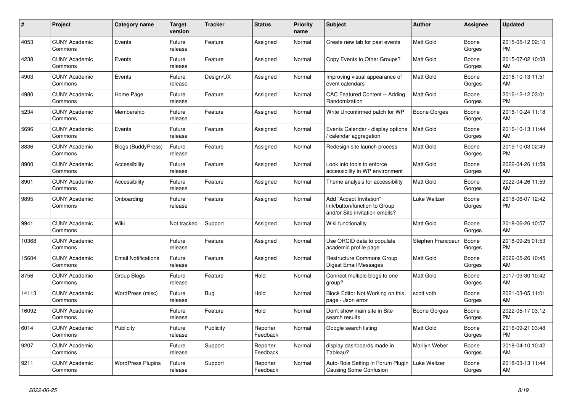| #     | <b>Project</b>                  | Category name              | Target<br>version | <b>Tracker</b> | <b>Status</b>        | <b>Priority</b><br>name | <b>Subject</b>                                                                             | <b>Author</b>       | Assignee        | <b>Updated</b>                |
|-------|---------------------------------|----------------------------|-------------------|----------------|----------------------|-------------------------|--------------------------------------------------------------------------------------------|---------------------|-----------------|-------------------------------|
| 4053  | <b>CUNY Academic</b><br>Commons | Events                     | Future<br>release | Feature        | Assigned             | Normal                  | Create new tab for past events                                                             | <b>Matt Gold</b>    | Boone<br>Gorges | 2015-05-12 02:10<br><b>PM</b> |
| 4238  | <b>CUNY Academic</b><br>Commons | Events                     | Future<br>release | Feature        | Assigned             | Normal                  | Copy Events to Other Groups?                                                               | <b>Matt Gold</b>    | Boone<br>Gorges | 2015-07-02 10:08<br>AM        |
| 4903  | <b>CUNY Academic</b><br>Commons | Events                     | Future<br>release | Design/UX      | Assigned             | Normal                  | Improving visual appearance of<br>event calendars                                          | Matt Gold           | Boone<br>Gorges | 2016-10-13 11:51<br>AM        |
| 4980  | <b>CUNY Academic</b><br>Commons | Home Page                  | Future<br>release | Feature        | Assigned             | Normal                  | CAC Featured Content -- Adding<br>Randomization                                            | Matt Gold           | Boone<br>Gorges | 2016-12-12 03:01<br><b>PM</b> |
| 5234  | <b>CUNY Academic</b><br>Commons | Membership                 | Future<br>release | Feature        | Assigned             | Normal                  | Write Unconfirmed patch for WP                                                             | <b>Boone Gorges</b> | Boone<br>Gorges | 2016-10-24 11:18<br>AM        |
| 5696  | <b>CUNY Academic</b><br>Commons | Events                     | Future<br>release | Feature        | Assigned             | Normal                  | Events Calendar - display options<br>calendar aggregation                                  | Matt Gold           | Boone<br>Gorges | 2016-10-13 11:44<br>AM        |
| 8836  | <b>CUNY Academic</b><br>Commons | <b>Blogs (BuddyPress)</b>  | Future<br>release | Feature        | Assigned             | Normal                  | Redesign site launch process                                                               | Matt Gold           | Boone<br>Gorges | 2019-10-03 02:49<br><b>PM</b> |
| 8900  | <b>CUNY Academic</b><br>Commons | Accessibility              | Future<br>release | Feature        | Assigned             | Normal                  | Look into tools to enforce<br>accessibility in WP environment                              | <b>Matt Gold</b>    | Boone<br>Gorges | 2022-04-26 11:59<br>AM        |
| 8901  | <b>CUNY Academic</b><br>Commons | Accessibility              | Future<br>release | Feature        | Assigned             | Normal                  | Theme analysis for accessibility                                                           | Matt Gold           | Boone<br>Gorges | 2022-04-26 11:59<br>AM        |
| 9895  | <b>CUNY Academic</b><br>Commons | Onboarding                 | Future<br>release | Feature        | Assigned             | Normal                  | Add "Accept Invitation"<br>link/button/function to Group<br>and/or Site invitation emails? | Luke Waltzer        | Boone<br>Gorges | 2018-06-07 12:42<br><b>PM</b> |
| 9941  | <b>CUNY Academic</b><br>Commons | Wiki                       | Not tracked       | Support        | Assigned             | Normal                  | Wiki functionality                                                                         | <b>Matt Gold</b>    | Boone<br>Gorges | 2018-06-26 10:57<br>AM        |
| 10368 | <b>CUNY Academic</b><br>Commons |                            | Future<br>release | Feature        | Assigned             | Normal                  | Use ORCID data to populate<br>academic profile page                                        | Stephen Francoeu    | Boone<br>Gorges | 2018-09-25 01:53<br><b>PM</b> |
| 15604 | <b>CUNY Academic</b><br>Commons | <b>Email Notifications</b> | Future<br>release | Feature        | Assigned             | Normal                  | <b>Restructure Commons Group</b><br>Digest Email Messages                                  | <b>Matt Gold</b>    | Boone<br>Gorges | 2022-05-26 10:45<br>AM        |
| 8756  | <b>CUNY Academic</b><br>Commons | Group Blogs                | Future<br>release | Feature        | Hold                 | Normal                  | Connect multiple blogs to one<br>group?                                                    | Matt Gold           | Boone<br>Gorges | 2017-09-30 10:42<br>AM        |
| 14113 | <b>CUNY Academic</b><br>Commons | WordPress (misc)           | Future<br>release | <b>Bug</b>     | Hold                 | Normal                  | Block Editor Not Working on this<br>page - Json error                                      | scott voth          | Boone<br>Gorges | 2021-03-05 11:01<br>AM        |
| 16092 | <b>CUNY Academic</b><br>Commons |                            | Future<br>release | Feature        | Hold                 | Normal                  | Don't show main site in Site<br>search results                                             | <b>Boone Gorges</b> | Boone<br>Gorges | 2022-05-17 03:12<br><b>PM</b> |
| 6014  | <b>CUNY Academic</b><br>Commons | Publicity                  | Future<br>release | Publicity      | Reporter<br>Feedback | Normal                  | Google search listing                                                                      | <b>Matt Gold</b>    | Boone<br>Gorges | 2016-09-21 03:48<br><b>PM</b> |
| 9207  | <b>CUNY Academic</b><br>Commons |                            | Future<br>release | Support        | Reporter<br>Feedback | Normal                  | display dashboards made in<br>Tableau?                                                     | Marilyn Weber       | Boone<br>Gorges | 2018-04-10 10:42<br>AM        |
| 9211  | <b>CUNY Academic</b><br>Commons | <b>WordPress Plugins</b>   | Future<br>release | Support        | Reporter<br>Feedback | Normal                  | Auto-Role Setting in Forum Plugin<br>Causing Some Confusion                                | Luke Waltzer        | Boone<br>Gorges | 2018-03-13 11:44<br>AM        |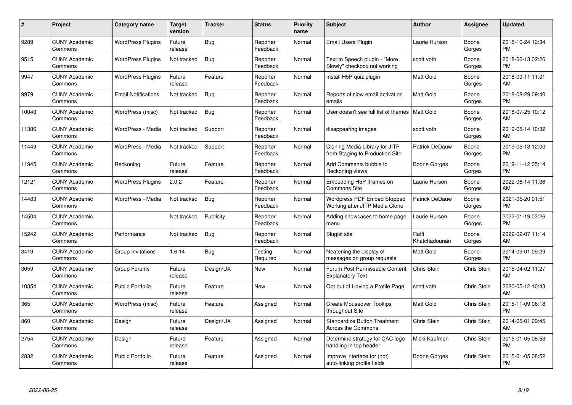| #     | Project                         | <b>Category name</b>       | Target<br>version | <b>Tracker</b> | <b>Status</b>        | <b>Priority</b><br>name | <b>Subject</b>                                                    | <b>Author</b>           | <b>Assignee</b>    | <b>Updated</b>                |
|-------|---------------------------------|----------------------------|-------------------|----------------|----------------------|-------------------------|-------------------------------------------------------------------|-------------------------|--------------------|-------------------------------|
| 9289  | <b>CUNY Academic</b><br>Commons | <b>WordPress Plugins</b>   | Future<br>release | <b>Bug</b>     | Reporter<br>Feedback | Normal                  | <b>Email Users Plugin</b>                                         | Laurie Hurson           | Boone<br>Gorges    | 2018-10-24 12:34<br><b>PM</b> |
| 9515  | <b>CUNY Academic</b><br>Commons | <b>WordPress Plugins</b>   | Not tracked       | Bug            | Reporter<br>Feedback | Normal                  | Text to Speech plugin - "More<br>Slowly" checkbox not working     | scott voth              | Boone<br>Gorges    | 2018-06-13 02:26<br><b>PM</b> |
| 9947  | <b>CUNY Academic</b><br>Commons | <b>WordPress Plugins</b>   | Future<br>release | Feature        | Reporter<br>Feedback | Normal                  | Install H5P quiz plugin                                           | <b>Matt Gold</b>        | Boone<br>Gorges    | 2018-09-11 11:01<br>AM        |
| 9979  | <b>CUNY Academic</b><br>Commons | <b>Email Notifications</b> | Not tracked       | Bug            | Reporter<br>Feedback | Normal                  | Reports of slow email activation<br>emails                        | <b>Matt Gold</b>        | Boone<br>Gorges    | 2018-08-29 09:40<br><b>PM</b> |
| 10040 | <b>CUNY Academic</b><br>Commons | WordPress (misc)           | Not tracked       | <b>Bug</b>     | Reporter<br>Feedback | Normal                  | User doesn't see full list of themes   Matt Gold                  |                         | Boone<br>Gorges    | 2018-07-25 10:12<br>AM        |
| 11386 | <b>CUNY Academic</b><br>Commons | WordPress - Media          | Not tracked       | Support        | Reporter<br>Feedback | Normal                  | disappearing images                                               | scott voth              | Boone<br>Gorges    | 2019-05-14 10:32<br>AM        |
| 11449 | <b>CUNY Academic</b><br>Commons | WordPress - Media          | Not tracked       | Support        | Reporter<br>Feedback | Normal                  | Cloning Media Library for JITP<br>from Staging to Production Site | Patrick DeDauw          | Boone<br>Gorges    | 2019-05-13 12:00<br><b>PM</b> |
| 11945 | <b>CUNY Academic</b><br>Commons | Reckoning                  | Future<br>release | Feature        | Reporter<br>Feedback | Normal                  | Add Comments bubble to<br>Reckoning views                         | Boone Gorges            | Boone<br>Gorges    | 2019-11-12 05:14<br><b>PM</b> |
| 12121 | <b>CUNY Academic</b><br>Commons | <b>WordPress Plugins</b>   | 2.0.2             | Feature        | Reporter<br>Feedback | Normal                  | Embedding H5P Iframes on<br><b>Commons Site</b>                   | Laurie Hurson           | Boone<br>Gorges    | 2022-06-14 11:36<br>AM        |
| 14483 | <b>CUNY Academic</b><br>Commons | WordPress - Media          | Not tracked       | Bug            | Reporter<br>Feedback | Normal                  | Wordpress PDF Embed Stopped<br>Working after JITP Media Clone     | Patrick DeDauw          | Boone<br>Gorges    | 2021-05-20 01:51<br><b>PM</b> |
| 14504 | <b>CUNY Academic</b><br>Commons |                            | Not tracked       | Publicity      | Reporter<br>Feedback | Normal                  | Adding showcases to home page<br>menu                             | Laurie Hurson           | Boone<br>Gorges    | 2022-01-19 03:26<br><b>PM</b> |
| 15242 | <b>CUNY Academic</b><br>Commons | Performance                | Not tracked       | Bug            | Reporter<br>Feedback | Normal                  | Slugist site                                                      | Raffi<br>Khatchadourian | Boone<br>Gorges    | 2022-02-07 11:14<br>AM        |
| 3419  | <b>CUNY Academic</b><br>Commons | Group Invitations          | 1.6.14            | Bug            | Testing<br>Required  | Normal                  | Neatening the display of<br>messages on group requests            | Matt Gold               | Boone<br>Gorges    | 2014-09-01 09:29<br><b>PM</b> |
| 3059  | <b>CUNY Academic</b><br>Commons | Group Forums               | Future<br>release | Design/UX      | <b>New</b>           | Normal                  | Forum Post Permissable Content<br><b>Explanatory Text</b>         | Chris Stein             | Chris Stein        | 2015-04-02 11:27<br>AM        |
| 10354 | <b>CUNY Academic</b><br>Commons | <b>Public Portfolio</b>    | Future<br>release | Feature        | <b>New</b>           | Normal                  | Opt out of Having a Profile Page                                  | scott voth              | Chris Stein        | 2020-05-12 10:43<br>AM        |
| 365   | <b>CUNY Academic</b><br>Commons | WordPress (misc)           | Future<br>release | Feature        | Assigned             | Normal                  | <b>Create Mouseover Tooltips</b><br>throughout Site               | <b>Matt Gold</b>        | Chris Stein        | 2015-11-09 06:18<br><b>PM</b> |
| 860   | <b>CUNY Academic</b><br>Commons | Design                     | Future<br>release | Design/UX      | Assigned             | Normal                  | <b>Standardize Button Treatment</b><br><b>Across the Commons</b>  | <b>Chris Stein</b>      | Chris Stein        | 2014-05-01 09:45<br>AM        |
| 2754  | <b>CUNY Academic</b><br>Commons | Design                     | Future<br>release | Feature        | Assigned             | Normal                  | Determine strategy for CAC logo<br>handling in top header         | Micki Kaufman           | Chris Stein        | 2015-01-05 08:53<br><b>PM</b> |
| 2832  | <b>CUNY Academic</b><br>Commons | <b>Public Portfolio</b>    | Future<br>release | Feature        | Assigned             | Normal                  | Improve interface for (not)<br>auto-linking profile fields        | Boone Gorges            | <b>Chris Stein</b> | 2015-01-05 08:52<br><b>PM</b> |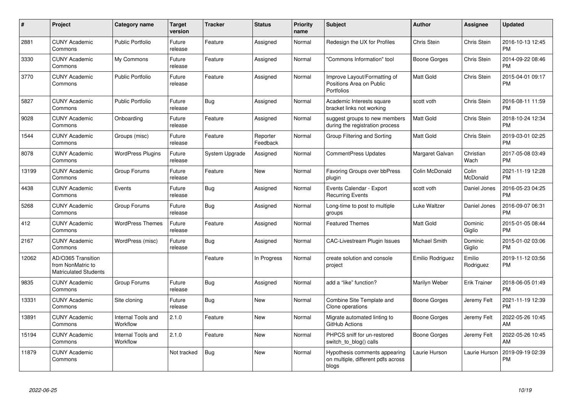| #     | <b>Project</b>                                                          | <b>Category name</b>           | <b>Target</b><br>version | <b>Tracker</b> | <b>Status</b>        | <b>Priority</b><br>name | <b>Subject</b>                                                               | <b>Author</b>    | <b>Assignee</b>     | <b>Updated</b>                |
|-------|-------------------------------------------------------------------------|--------------------------------|--------------------------|----------------|----------------------|-------------------------|------------------------------------------------------------------------------|------------------|---------------------|-------------------------------|
| 2881  | <b>CUNY Academic</b><br>Commons                                         | <b>Public Portfolio</b>        | Future<br>release        | Feature        | Assigned             | Normal                  | Redesign the UX for Profiles                                                 | Chris Stein      | Chris Stein         | 2016-10-13 12:45<br><b>PM</b> |
| 3330  | <b>CUNY Academic</b><br>Commons                                         | My Commons                     | Future<br>release        | Feature        | Assigned             | Normal                  | 'Commons Information" tool                                                   | Boone Gorges     | Chris Stein         | 2014-09-22 08:46<br><b>PM</b> |
| 3770  | <b>CUNY Academic</b><br>Commons                                         | <b>Public Portfolio</b>        | Future<br>release        | Feature        | Assigned             | Normal                  | Improve Layout/Formatting of<br>Positions Area on Public<br>Portfolios       | Matt Gold        | Chris Stein         | 2015-04-01 09:17<br><b>PM</b> |
| 5827  | <b>CUNY Academic</b><br>Commons                                         | <b>Public Portfolio</b>        | Future<br>release        | Bug            | Assigned             | Normal                  | Academic Interests square<br>bracket links not working                       | scott voth       | Chris Stein         | 2016-08-11 11:59<br><b>PM</b> |
| 9028  | <b>CUNY Academic</b><br>Commons                                         | Onboarding                     | Future<br>release        | Feature        | Assigned             | Normal                  | suggest groups to new members<br>during the registration process             | Matt Gold        | Chris Stein         | 2018-10-24 12:34<br><b>PM</b> |
| 1544  | <b>CUNY Academic</b><br>Commons                                         | Groups (misc)                  | Future<br>release        | Feature        | Reporter<br>Feedback | Normal                  | Group Filtering and Sorting                                                  | Matt Gold        | Chris Stein         | 2019-03-01 02:25<br><b>PM</b> |
| 8078  | <b>CUNY Academic</b><br>Commons                                         | <b>WordPress Plugins</b>       | Future<br>release        | System Upgrade | Assigned             | Normal                  | <b>CommentPress Updates</b>                                                  | Margaret Galvan  | Christian<br>Wach   | 2017-05-08 03:49<br><b>PM</b> |
| 13199 | <b>CUNY Academic</b><br>Commons                                         | Group Forums                   | Future<br>release        | Feature        | New                  | Normal                  | <b>Favoring Groups over bbPress</b><br>plugin                                | Colin McDonald   | Colin<br>McDonald   | 2021-11-19 12:28<br><b>PM</b> |
| 4438  | <b>CUNY Academic</b><br>Commons                                         | Events                         | Future<br>release        | Bug            | Assigned             | Normal                  | Events Calendar - Export<br><b>Recurring Events</b>                          | scott voth       | Daniel Jones        | 2016-05-23 04:25<br><b>PM</b> |
| 5268  | <b>CUNY Academic</b><br>Commons                                         | Group Forums                   | Future<br>release        | <b>Bug</b>     | Assigned             | Normal                  | Long-time to post to multiple<br>groups                                      | Luke Waltzer     | Daniel Jones        | 2016-09-07 06:31<br><b>PM</b> |
| 412   | <b>CUNY Academic</b><br>Commons                                         | <b>WordPress Themes</b>        | Future<br>release        | Feature        | Assigned             | Normal                  | <b>Featured Themes</b>                                                       | Matt Gold        | Dominic<br>Giglio   | 2015-01-05 08:44<br><b>PM</b> |
| 2167  | <b>CUNY Academic</b><br>Commons                                         | WordPress (misc)               | Future<br>release        | <b>Bug</b>     | Assigned             | Normal                  | <b>CAC-Livestream Plugin Issues</b>                                          | Michael Smith    | Dominic<br>Giglio   | 2015-01-02 03:06<br><b>PM</b> |
| 12062 | AD/O365 Transition<br>from NonMatric to<br><b>Matriculated Students</b> |                                |                          | Feature        | In Progress          | Normal                  | create solution and console<br>project                                       | Emilio Rodriguez | Emilio<br>Rodriguez | 2019-11-12 03:56<br><b>PM</b> |
| 9835  | <b>CUNY Academic</b><br>Commons                                         | Group Forums                   | Future<br>release        | Bug            | Assigned             | Normal                  | add a "like" function?                                                       | Marilyn Weber    | <b>Erik Trainer</b> | 2018-06-05 01:49<br><b>PM</b> |
| 13331 | <b>CUNY Academic</b><br>Commons                                         | Site cloning                   | Future<br>release        | Bug            | <b>New</b>           | Normal                  | Combine Site Template and<br>Clone operations                                | Boone Gorges     | Jeremy Felt         | 2021-11-19 12:39<br><b>PM</b> |
| 13891 | <b>CUNY Academic</b><br>Commons                                         | Internal Tools and<br>Workflow | 2.1.0                    | Feature        | <b>New</b>           | Normal                  | Migrate automated linting to<br>GitHub Actions                               | Boone Gorges     | Jeremy Felt         | 2022-05-26 10:45<br>AM        |
| 15194 | <b>CUNY Academic</b><br>Commons                                         | Internal Tools and<br>Workflow | 2.1.0                    | Feature        | <b>New</b>           | Normal                  | PHPCS sniff for un-restored<br>switch to blog() calls                        | Boone Gorges     | Jeremy Felt         | 2022-05-26 10:45<br>AM        |
| 11879 | <b>CUNY Academic</b><br>Commons                                         |                                | Not tracked              | <b>Bug</b>     | New                  | Normal                  | Hypothesis comments appearing<br>on multiple, different pdfs across<br>blogs | Laurie Hurson    | Laurie Hurson       | 2019-09-19 02:39<br>PM        |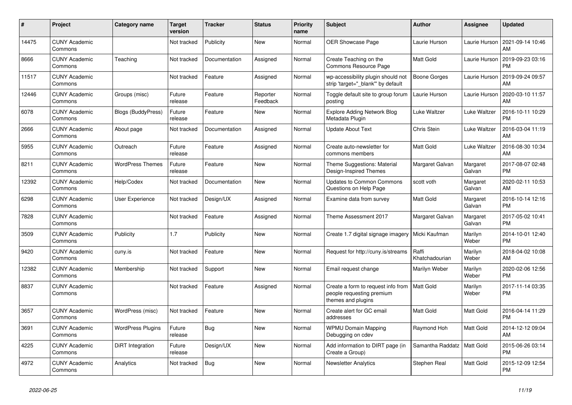| #     | <b>Project</b>                  | Category name             | <b>Target</b><br>version | <b>Tracker</b> | <b>Status</b>        | <b>Priority</b><br>name | <b>Subject</b>                                                                        | <b>Author</b>           | <b>Assignee</b>    | <b>Updated</b>                |
|-------|---------------------------------|---------------------------|--------------------------|----------------|----------------------|-------------------------|---------------------------------------------------------------------------------------|-------------------------|--------------------|-------------------------------|
| 14475 | <b>CUNY Academic</b><br>Commons |                           | Not tracked              | Publicity      | <b>New</b>           | Normal                  | OER Showcase Page                                                                     | Laurie Hurson           | Laurie Hurson      | 2021-09-14 10:46<br>AM        |
| 8666  | <b>CUNY Academic</b><br>Commons | Teaching                  | Not tracked              | Documentation  | Assigned             | Normal                  | Create Teaching on the<br>Commons Resource Page                                       | <b>Matt Gold</b>        | Laurie Hurson      | 2019-09-23 03:16<br><b>PM</b> |
| 11517 | <b>CUNY Academic</b><br>Commons |                           | Not tracked              | Feature        | Assigned             | Normal                  | wp-accessibility plugin should not<br>strip 'target=" blank" by default               | <b>Boone Gorges</b>     | Laurie Hurson      | 2019-09-24 09:57<br>AM        |
| 12446 | <b>CUNY Academic</b><br>Commons | Groups (misc)             | Future<br>release        | Feature        | Reporter<br>Feedback | Normal                  | Toggle default site to group forum<br>posting                                         | Laurie Hurson           | Laurie Hurson      | 2020-03-10 11:57<br>AM        |
| 6078  | <b>CUNY Academic</b><br>Commons | <b>Blogs (BuddyPress)</b> | Future<br>release        | Feature        | New                  | Normal                  | <b>Explore Adding Network Blog</b><br>Metadata Plugin                                 | Luke Waltzer            | Luke Waltzer       | 2016-10-11 10:29<br><b>PM</b> |
| 2666  | <b>CUNY Academic</b><br>Commons | About page                | Not tracked              | Documentation  | Assigned             | Normal                  | <b>Update About Text</b>                                                              | Chris Stein             | Luke Waltzer       | 2016-03-04 11:19<br>AM        |
| 5955  | <b>CUNY Academic</b><br>Commons | Outreach                  | Future<br>release        | Feature        | Assigned             | Normal                  | Create auto-newsletter for<br>commons members                                         | <b>Matt Gold</b>        | Luke Waltzer       | 2016-08-30 10:34<br>AM        |
| 8211  | <b>CUNY Academic</b><br>Commons | <b>WordPress Themes</b>   | Future<br>release        | Feature        | <b>New</b>           | Normal                  | Theme Suggestions: Material<br>Design-Inspired Themes                                 | Margaret Galvan         | Margaret<br>Galvan | 2017-08-07 02:48<br><b>PM</b> |
| 12392 | <b>CUNY Academic</b><br>Commons | Help/Codex                | Not tracked              | Documentation  | <b>New</b>           | Normal                  | <b>Updates to Common Commons</b><br>Questions on Help Page                            | scott voth              | Margaret<br>Galvan | 2020-02-11 10:53<br>AM        |
| 6298  | <b>CUNY Academic</b><br>Commons | User Experience           | Not tracked              | Design/UX      | Assigned             | Normal                  | Examine data from survey                                                              | <b>Matt Gold</b>        | Margaret<br>Galvan | 2016-10-14 12:16<br><b>PM</b> |
| 7828  | <b>CUNY Academic</b><br>Commons |                           | Not tracked              | Feature        | Assigned             | Normal                  | Theme Assessment 2017                                                                 | Margaret Galvan         | Margaret<br>Galvan | 2017-05-02 10:41<br><b>PM</b> |
| 3509  | <b>CUNY Academic</b><br>Commons | Publicity                 | 1.7                      | Publicity      | <b>New</b>           | Normal                  | Create 1.7 digital signage imagery                                                    | Micki Kaufman           | Marilyn<br>Weber   | 2014-10-01 12:40<br><b>PM</b> |
| 9420  | <b>CUNY Academic</b><br>Commons | cuny.is                   | Not tracked              | Feature        | New                  | Normal                  | Request for http://cuny.is/streams                                                    | Raffi<br>Khatchadourian | Marilyn<br>Weber   | 2018-04-02 10:08<br>AM        |
| 12382 | <b>CUNY Academic</b><br>Commons | Membership                | Not tracked              | Support        | <b>New</b>           | Normal                  | Email request change                                                                  | Marilyn Weber           | Marilyn<br>Weber   | 2020-02-06 12:56<br><b>PM</b> |
| 8837  | <b>CUNY Academic</b><br>Commons |                           | Not tracked              | Feature        | Assigned             | Normal                  | Create a form to request info from<br>people requesting premium<br>themes and plugins | <b>Matt Gold</b>        | Marilyn<br>Weber   | 2017-11-14 03:35<br><b>PM</b> |
| 3657  | <b>CUNY Academic</b><br>Commons | WordPress (misc)          | Not tracked              | Feature        | <b>New</b>           | Normal                  | Create alert for GC email<br>addresses                                                | <b>Matt Gold</b>        | Matt Gold          | 2016-04-14 11:29<br><b>PM</b> |
| 3691  | <b>CUNY Academic</b><br>Commons | <b>WordPress Plugins</b>  | Future<br>release        | Bug            | <b>New</b>           | Normal                  | <b>WPMU Domain Mapping</b><br>Debugging on cdev                                       | Raymond Hoh             | Matt Gold          | 2014-12-12 09:04<br>AM        |
| 4225  | <b>CUNY Academic</b><br>Commons | DiRT Integration          | Future<br>release        | Design/UX      | <b>New</b>           | Normal                  | Add information to DIRT page (in<br>Create a Group)                                   | Samantha Raddatz        | Matt Gold          | 2015-06-26 03:14<br><b>PM</b> |
| 4972  | <b>CUNY Academic</b><br>Commons | Analytics                 | Not tracked              | Bug            | <b>New</b>           | Normal                  | <b>Newsletter Analytics</b>                                                           | Stephen Real            | Matt Gold          | 2015-12-09 12:54<br><b>PM</b> |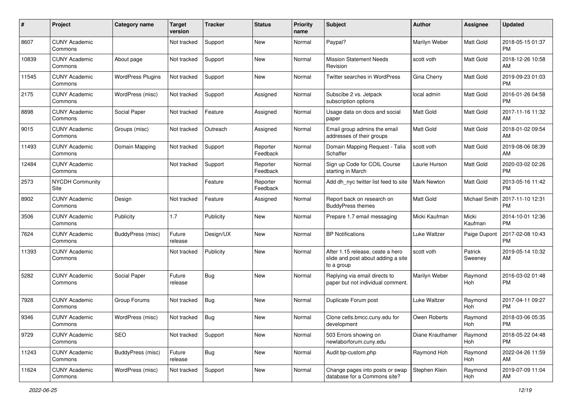| #     | Project                         | <b>Category name</b>     | <b>Target</b><br>version | <b>Tracker</b> | <b>Status</b>        | <b>Priority</b><br>name | <b>Subject</b>                                                                       | <b>Author</b>    | <b>Assignee</b>    | <b>Updated</b>                |
|-------|---------------------------------|--------------------------|--------------------------|----------------|----------------------|-------------------------|--------------------------------------------------------------------------------------|------------------|--------------------|-------------------------------|
| 8607  | <b>CUNY Academic</b><br>Commons |                          | Not tracked              | Support        | <b>New</b>           | Normal                  | Paypal?                                                                              | Marilyn Weber    | Matt Gold          | 2018-05-15 01:37<br><b>PM</b> |
| 10839 | <b>CUNY Academic</b><br>Commons | About page               | Not tracked              | Support        | <b>New</b>           | Normal                  | <b>Mission Statement Needs</b><br>Revision                                           | scott voth       | <b>Matt Gold</b>   | 2018-12-26 10:58<br>AM        |
| 11545 | <b>CUNY Academic</b><br>Commons | <b>WordPress Plugins</b> | Not tracked              | Support        | New                  | Normal                  | Twitter searches in WordPress                                                        | Gina Cherry      | Matt Gold          | 2019-09-23 01:03<br><b>PM</b> |
| 2175  | <b>CUNY Academic</b><br>Commons | WordPress (misc)         | Not tracked              | Support        | Assigned             | Normal                  | Subscibe 2 vs. Jetpack<br>subscription options                                       | local admin      | <b>Matt Gold</b>   | 2016-01-26 04:58<br><b>PM</b> |
| 8898  | <b>CUNY Academic</b><br>Commons | Social Paper             | Not tracked              | Feature        | Assigned             | Normal                  | Usage data on docs and social<br>paper                                               | <b>Matt Gold</b> | <b>Matt Gold</b>   | 2017-11-16 11:32<br>AM        |
| 9015  | <b>CUNY Academic</b><br>Commons | Groups (misc)            | Not tracked              | Outreach       | Assigned             | Normal                  | Email group admins the email<br>addresses of their groups                            | <b>Matt Gold</b> | <b>Matt Gold</b>   | 2018-01-02 09:54<br>AM        |
| 11493 | <b>CUNY Academic</b><br>Commons | Domain Mapping           | Not tracked              | Support        | Reporter<br>Feedback | Normal                  | Domain Mapping Request - Talia<br>Schaffer                                           | scott voth       | <b>Matt Gold</b>   | 2019-08-06 08:39<br>AM        |
| 12484 | <b>CUNY Academic</b><br>Commons |                          | Not tracked              | Support        | Reporter<br>Feedback | Normal                  | Sign up Code for COIL Course<br>starting in March                                    | Laurie Hurson    | Matt Gold          | 2020-03-02 02:26<br><b>PM</b> |
| 2573  | <b>NYCDH Community</b><br>Site  |                          |                          | Feature        | Reporter<br>Feedback | Normal                  | Add dh_nyc twitter list feed to site                                                 | Mark Newton      | <b>Matt Gold</b>   | 2013-05-16 11:42<br><b>PM</b> |
| 8902  | <b>CUNY Academic</b><br>Commons | Design                   | Not tracked              | Feature        | Assigned             | Normal                  | Report back on research on<br><b>BuddyPress themes</b>                               | <b>Matt Gold</b> | Michael Smith      | 2017-11-10 12:31<br>PM        |
| 3506  | <b>CUNY Academic</b><br>Commons | Publicity                | 1.7                      | Publicity      | New                  | Normal                  | Prepare 1.7 email messaging                                                          | Micki Kaufman    | Micki<br>Kaufman   | 2014-10-01 12:36<br><b>PM</b> |
| 7624  | <b>CUNY Academic</b><br>Commons | BuddyPress (misc)        | Future<br>release        | Design/UX      | <b>New</b>           | Normal                  | <b>BP</b> Notifications                                                              | Luke Waltzer     | Paige Dupont       | 2017-02-08 10:43<br><b>PM</b> |
| 11393 | <b>CUNY Academic</b><br>Commons |                          | Not tracked              | Publicity      | <b>New</b>           | Normal                  | After 1.15 release, ceate a hero<br>slide and post about adding a site<br>to a group | scott voth       | Patrick<br>Sweeney | 2019-05-14 10:32<br>AM        |
| 5282  | <b>CUNY Academic</b><br>Commons | Social Paper             | Future<br>release        | Bug            | <b>New</b>           | Normal                  | Replying via email directs to<br>paper but not individual comment.                   | Marilyn Weber    | Raymond<br>Hoh     | 2016-03-02 01:48<br><b>PM</b> |
| 7928  | <b>CUNY Academic</b><br>Commons | Group Forums             | Not tracked              | <b>Bug</b>     | <b>New</b>           | Normal                  | Duplicate Forum post                                                                 | Luke Waltzer     | Raymond<br>Hoh     | 2017-04-11 09:27<br><b>PM</b> |
| 9346  | <b>CUNY Academic</b><br>Commons | WordPress (misc)         | Not tracked              | <b>Bug</b>     | <b>New</b>           | Normal                  | Clone cetls.bmcc.cuny.edu for<br>development                                         | Owen Roberts     | Raymond<br>Hoh     | 2018-03-06 05:35<br>PM        |
| 9729  | <b>CUNY Academic</b><br>Commons | <b>SEO</b>               | Not tracked              | Support        | New                  | Normal                  | 503 Errors showing on<br>newlaborforum.cuny.edu                                      | Diane Krauthamer | Raymond<br>Hoh     | 2018-05-22 04:48<br><b>PM</b> |
| 11243 | <b>CUNY Academic</b><br>Commons | BuddyPress (misc)        | Future<br>release        | <b>Bug</b>     | New                  | Normal                  | Audit bp-custom.php                                                                  | Raymond Hoh      | Raymond<br>Hoh     | 2022-04-26 11:59<br>AM        |
| 11624 | <b>CUNY Academic</b><br>Commons | WordPress (misc)         | Not tracked              | Support        | New                  | Normal                  | Change pages into posts or swap<br>database for a Commons site?                      | Stephen Klein    | Raymond<br>Hoh     | 2019-07-09 11:04<br>AM        |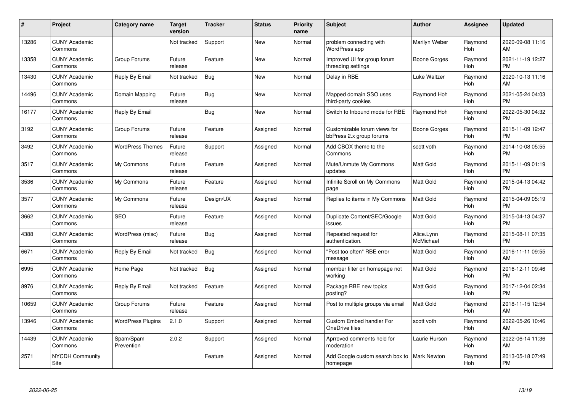| $\pmb{\#}$ | Project                         | <b>Category name</b>     | <b>Target</b><br>version | <b>Tracker</b> | <b>Status</b> | <b>Priority</b><br>name | <b>Subject</b>                                           | Author                  | <b>Assignee</b>       | <b>Updated</b>                |
|------------|---------------------------------|--------------------------|--------------------------|----------------|---------------|-------------------------|----------------------------------------------------------|-------------------------|-----------------------|-------------------------------|
| 13286      | <b>CUNY Academic</b><br>Commons |                          | Not tracked              | Support        | <b>New</b>    | Normal                  | problem connecting with<br>WordPress app                 | Marilyn Weber           | Raymond<br>Hoh        | 2020-09-08 11:16<br>AM        |
| 13358      | <b>CUNY Academic</b><br>Commons | Group Forums             | Future<br>release        | Feature        | New           | Normal                  | Improved UI for group forum<br>threading settings        | Boone Gorges            | Raymond<br><b>Hoh</b> | 2021-11-19 12:27<br><b>PM</b> |
| 13430      | <b>CUNY Academic</b><br>Commons | Reply By Email           | Not tracked              | Bug            | <b>New</b>    | Normal                  | Delay in RBE                                             | Luke Waltzer            | Raymond<br>Hoh        | 2020-10-13 11:16<br>AM        |
| 14496      | <b>CUNY Academic</b><br>Commons | Domain Mapping           | Future<br>release        | <b>Bug</b>     | <b>New</b>    | Normal                  | Mapped domain SSO uses<br>third-party cookies            | Raymond Hoh             | Raymond<br>Hoh        | 2021-05-24 04:03<br><b>PM</b> |
| 16177      | <b>CUNY Academic</b><br>Commons | Reply By Email           |                          | <b>Bug</b>     | <b>New</b>    | Normal                  | Switch to Inbound mode for RBE                           | Raymond Hoh             | Raymond<br><b>Hoh</b> | 2022-05-30 04:32<br><b>PM</b> |
| 3192       | <b>CUNY Academic</b><br>Commons | Group Forums             | Future<br>release        | Feature        | Assigned      | Normal                  | Customizable forum views for<br>bbPress 2.x group forums | Boone Gorges            | Raymond<br>Hoh        | 2015-11-09 12:47<br><b>PM</b> |
| 3492       | <b>CUNY Academic</b><br>Commons | <b>WordPress Themes</b>  | Future<br>release        | Support        | Assigned      | Normal                  | Add CBOX theme to the<br>Commons                         | scott voth              | Raymond<br>Hoh        | 2014-10-08 05:55<br><b>PM</b> |
| 3517       | <b>CUNY Academic</b><br>Commons | My Commons               | Future<br>release        | Feature        | Assigned      | Normal                  | Mute/Unmute My Commons<br>updates                        | <b>Matt Gold</b>        | Raymond<br>Hoh        | 2015-11-09 01:19<br><b>PM</b> |
| 3536       | <b>CUNY Academic</b><br>Commons | My Commons               | Future<br>release        | Feature        | Assigned      | Normal                  | Infinite Scroll on My Commons<br>page                    | <b>Matt Gold</b>        | Raymond<br>Hoh        | 2015-04-13 04:42<br><b>PM</b> |
| 3577       | <b>CUNY Academic</b><br>Commons | My Commons               | Future<br>release        | Design/UX      | Assigned      | Normal                  | Replies to items in My Commons                           | <b>Matt Gold</b>        | Raymond<br>Hoh        | 2015-04-09 05:19<br><b>PM</b> |
| 3662       | <b>CUNY Academic</b><br>Commons | <b>SEO</b>               | Future<br>release        | Feature        | Assigned      | Normal                  | Duplicate Content/SEO/Google<br>issues                   | <b>Matt Gold</b>        | Raymond<br>Hoh        | 2015-04-13 04:37<br>PM        |
| 4388       | <b>CUNY Academic</b><br>Commons | WordPress (misc)         | Future<br>release        | <b>Bug</b>     | Assigned      | Normal                  | Repeated request for<br>authentication.                  | Alice.Lynn<br>McMichael | Raymond<br>Hoh        | 2015-08-11 07:35<br><b>PM</b> |
| 6671       | <b>CUNY Academic</b><br>Commons | Reply By Email           | Not tracked              | <b>Bug</b>     | Assigned      | Normal                  | 'Post too often" RBE error<br>message                    | <b>Matt Gold</b>        | Raymond<br>Hoh        | 2016-11-11 09:55<br>AM        |
| 6995       | <b>CUNY Academic</b><br>Commons | Home Page                | Not tracked              | Bug            | Assigned      | Normal                  | member filter on homepage not<br>working                 | <b>Matt Gold</b>        | Raymond<br>Hoh        | 2016-12-11 09:46<br><b>PM</b> |
| 8976       | <b>CUNY Academic</b><br>Commons | Reply By Email           | Not tracked              | Feature        | Assigned      | Normal                  | Package RBE new topics<br>posting?                       | Matt Gold               | Raymond<br>Hoh        | 2017-12-04 02:34<br><b>PM</b> |
| 10659      | <b>CUNY Academic</b><br>Commons | Group Forums             | Future<br>release        | Feature        | Assigned      | Normal                  | Post to multiple groups via email                        | <b>Matt Gold</b>        | Raymond<br>Hoh        | 2018-11-15 12:54<br>AM        |
| 13946      | <b>CUNY Academic</b><br>Commons | <b>WordPress Plugins</b> | 2.1.0                    | Support        | Assigned      | Normal                  | <b>Custom Embed handler For</b><br>OneDrive files        | scott voth              | Raymond<br><b>Hoh</b> | 2022-05-26 10:46<br>AM        |
| 14439      | <b>CUNY Academic</b><br>Commons | Spam/Spam<br>Prevention  | 2.0.2                    | Support        | Assigned      | Normal                  | Aprroved comments held for<br>moderation                 | Laurie Hurson           | Raymond<br>Hoh        | 2022-06-14 11:36<br>AM        |
| 2571       | <b>NYCDH Community</b><br>Site  |                          |                          | Feature        | Assigned      | Normal                  | Add Google custom search box to<br>homepage              | <b>Mark Newton</b>      | Raymond<br>Hoh        | 2013-05-18 07:49<br>PM        |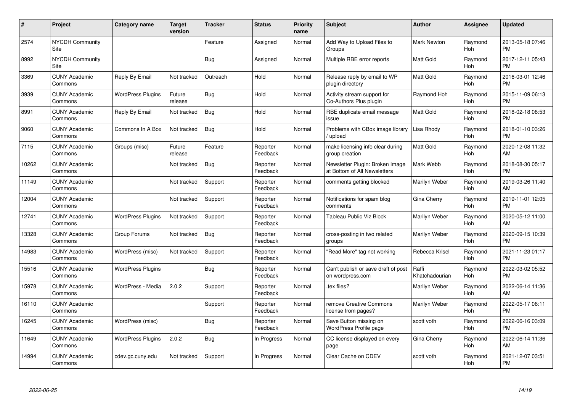| #     | Project                         | <b>Category name</b>     | <b>Target</b><br>version | <b>Tracker</b> | <b>Status</b>        | <b>Priority</b><br>name | <b>Subject</b>                                                  | <b>Author</b>           | <b>Assignee</b>       | <b>Updated</b>                |
|-------|---------------------------------|--------------------------|--------------------------|----------------|----------------------|-------------------------|-----------------------------------------------------------------|-------------------------|-----------------------|-------------------------------|
| 2574  | <b>NYCDH Community</b><br>Site  |                          |                          | Feature        | Assigned             | Normal                  | Add Way to Upload Files to<br>Groups                            | <b>Mark Newton</b>      | Raymond<br><b>Hoh</b> | 2013-05-18 07:46<br><b>PM</b> |
| 8992  | <b>NYCDH Community</b><br>Site  |                          |                          | Bug            | Assigned             | Normal                  | Multiple RBE error reports                                      | Matt Gold               | Raymond<br><b>Hoh</b> | 2017-12-11 05:43<br><b>PM</b> |
| 3369  | <b>CUNY Academic</b><br>Commons | Reply By Email           | Not tracked              | Outreach       | Hold                 | Normal                  | Release reply by email to WP<br>plugin directory                | Matt Gold               | Raymond<br>Hoh        | 2016-03-01 12:46<br><b>PM</b> |
| 3939  | <b>CUNY Academic</b><br>Commons | <b>WordPress Plugins</b> | Future<br>release        | Bug            | Hold                 | Normal                  | Activity stream support for<br>Co-Authors Plus plugin           | Raymond Hoh             | Raymond<br>Hoh        | 2015-11-09 06:13<br><b>PM</b> |
| 8991  | <b>CUNY Academic</b><br>Commons | Reply By Email           | Not tracked              | <b>Bug</b>     | Hold                 | Normal                  | RBE duplicate email message<br>issue                            | Matt Gold               | Raymond<br>Hoh        | 2018-02-18 08:53<br><b>PM</b> |
| 9060  | <b>CUNY Academic</b><br>Commons | Commons In A Box         | Not tracked              | Bug            | Hold                 | Normal                  | Problems with CBox image library<br>upload                      | Lisa Rhody              | Raymond<br>Hoh        | 2018-01-10 03:26<br><b>PM</b> |
| 7115  | <b>CUNY Academic</b><br>Commons | Groups (misc)            | Future<br>release        | Feature        | Reporter<br>Feedback | Normal                  | make licensing info clear during<br>group creation              | <b>Matt Gold</b>        | Raymond<br>Hoh        | 2020-12-08 11:32<br>AM        |
| 10262 | <b>CUNY Academic</b><br>Commons |                          | Not tracked              | Bug            | Reporter<br>Feedback | Normal                  | Newsletter Plugin: Broken Image<br>at Bottom of All Newsletters | Mark Webb               | Raymond<br>Hoh        | 2018-08-30 05:17<br><b>PM</b> |
| 11149 | <b>CUNY Academic</b><br>Commons |                          | Not tracked              | Support        | Reporter<br>Feedback | Normal                  | comments getting blocked                                        | Marilyn Weber           | Raymond<br>Hoh        | 2019-03-26 11:40<br>AM        |
| 12004 | <b>CUNY Academic</b><br>Commons |                          | Not tracked              | Support        | Reporter<br>Feedback | Normal                  | Notifications for spam blog<br>comments                         | Gina Cherry             | Raymond<br>Hoh        | 2019-11-01 12:05<br><b>PM</b> |
| 12741 | <b>CUNY Academic</b><br>Commons | <b>WordPress Plugins</b> | Not tracked              | Support        | Reporter<br>Feedback | Normal                  | Tableau Public Viz Block                                        | Marilyn Weber           | Raymond<br><b>Hoh</b> | 2020-05-12 11:00<br>AM        |
| 13328 | <b>CUNY Academic</b><br>Commons | Group Forums             | Not tracked              | <b>Bug</b>     | Reporter<br>Feedback | Normal                  | cross-posting in two related<br>groups                          | Marilyn Weber           | Raymond<br><b>Hoh</b> | 2020-09-15 10:39<br><b>PM</b> |
| 14983 | <b>CUNY Academic</b><br>Commons | WordPress (misc)         | Not tracked              | Support        | Reporter<br>Feedback | Normal                  | "Read More" tag not working                                     | Rebecca Krisel          | Raymond<br>Hoh        | 2021-11-23 01:17<br><b>PM</b> |
| 15516 | <b>CUNY Academic</b><br>Commons | <b>WordPress Plugins</b> |                          | Bug            | Reporter<br>Feedback | Normal                  | Can't publish or save draft of post<br>on wordpress.com         | Raffi<br>Khatchadourian | Raymond<br><b>Hoh</b> | 2022-03-02 05:52<br><b>PM</b> |
| 15978 | <b>CUNY Academic</b><br>Commons | WordPress - Media        | 2.0.2                    | Support        | Reporter<br>Feedback | Normal                  | tex files?                                                      | Marilyn Weber           | Raymond<br>Hoh        | 2022-06-14 11:36<br>AM        |
| 16110 | <b>CUNY Academic</b><br>Commons |                          |                          | Support        | Reporter<br>Feedback | Normal                  | remove Creative Commons<br>license from pages?                  | Marilyn Weber           | Raymond<br><b>Hoh</b> | 2022-05-17 06:11<br><b>PM</b> |
| 16245 | <b>CUNY Academic</b><br>Commons | WordPress (misc)         |                          | <b>Bug</b>     | Reporter<br>Feedback | Normal                  | Save Button missing on<br>WordPress Profile page                | scott voth              | Raymond<br>Hoh        | 2022-06-16 03:09<br><b>PM</b> |
| 11649 | <b>CUNY Academic</b><br>Commons | <b>WordPress Plugins</b> | 2.0.2                    | <b>Bug</b>     | In Progress          | Normal                  | CC license displayed on every<br>page                           | Gina Cherry             | Raymond<br>Hoh        | 2022-06-14 11:36<br>AM        |
| 14994 | <b>CUNY Academic</b><br>Commons | cdev.gc.cuny.edu         | Not tracked              | Support        | In Progress          | Normal                  | Clear Cache on CDEV                                             | scott voth              | Raymond<br>Hoh        | 2021-12-07 03:51<br><b>PM</b> |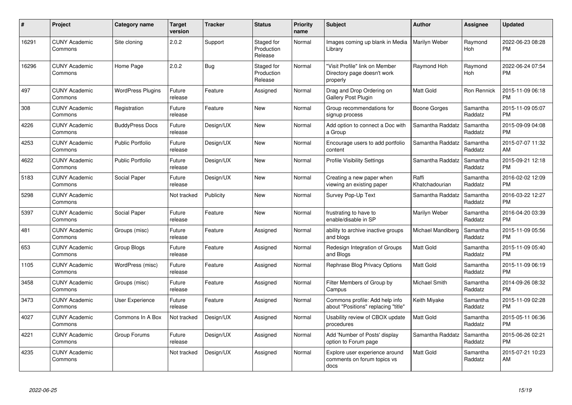| #     | Project                         | <b>Category name</b>     | <b>Target</b><br>version | <b>Tracker</b> | <b>Status</b>                       | <b>Priority</b><br>name | <b>Subject</b>                                                            | <b>Author</b>           | <b>Assignee</b>       | <b>Updated</b>                |
|-------|---------------------------------|--------------------------|--------------------------|----------------|-------------------------------------|-------------------------|---------------------------------------------------------------------------|-------------------------|-----------------------|-------------------------------|
| 16291 | <b>CUNY Academic</b><br>Commons | Site cloning             | 2.0.2                    | Support        | Staged for<br>Production<br>Release | Normal                  | Images coming up blank in Media<br>Library                                | Marilyn Weber           | Raymond<br><b>Hoh</b> | 2022-06-23 08:28<br><b>PM</b> |
| 16296 | <b>CUNY Academic</b><br>Commons | Home Page                | 2.0.2                    | <b>Bug</b>     | Staged for<br>Production<br>Release | Normal                  | "Visit Profile" link on Member<br>Directory page doesn't work<br>properly | Raymond Hoh             | Raymond<br>Hoh        | 2022-06-24 07:54<br><b>PM</b> |
| 497   | <b>CUNY Academic</b><br>Commons | <b>WordPress Plugins</b> | Future<br>release        | Feature        | Assigned                            | Normal                  | Drag and Drop Ordering on<br><b>Gallery Post Plugin</b>                   | Matt Gold               | Ron Rennick           | 2015-11-09 06:18<br><b>PM</b> |
| 308   | <b>CUNY Academic</b><br>Commons | Registration             | Future<br>release        | Feature        | <b>New</b>                          | Normal                  | Group recommendations for<br>signup process                               | Boone Gorges            | Samantha<br>Raddatz   | 2015-11-09 05:07<br><b>PM</b> |
| 4226  | <b>CUNY Academic</b><br>Commons | <b>BuddyPress Docs</b>   | Future<br>release        | Design/UX      | <b>New</b>                          | Normal                  | Add option to connect a Doc with<br>a Group                               | Samantha Raddatz        | Samantha<br>Raddatz   | 2015-09-09 04:08<br><b>PM</b> |
| 4253  | <b>CUNY Academic</b><br>Commons | <b>Public Portfolio</b>  | Future<br>release        | Design/UX      | <b>New</b>                          | Normal                  | Encourage users to add portfolio<br>content                               | Samantha Raddatz        | Samantha<br>Raddatz   | 2015-07-07 11:32<br>AM        |
| 4622  | <b>CUNY Academic</b><br>Commons | <b>Public Portfolio</b>  | Future<br>release        | Design/UX      | New                                 | Normal                  | <b>Profile Visibility Settings</b>                                        | Samantha Raddatz        | Samantha<br>Raddatz   | 2015-09-21 12:18<br><b>PM</b> |
| 5183  | <b>CUNY Academic</b><br>Commons | Social Paper             | Future<br>release        | Design/UX      | <b>New</b>                          | Normal                  | Creating a new paper when<br>viewing an existing paper                    | Raffi<br>Khatchadourian | Samantha<br>Raddatz   | 2016-02-02 12:09<br><b>PM</b> |
| 5298  | <b>CUNY Academic</b><br>Commons |                          | Not tracked              | Publicity      | <b>New</b>                          | Normal                  | Survey Pop-Up Text                                                        | Samantha Raddatz        | Samantha<br>Raddatz   | 2016-03-22 12:27<br><b>PM</b> |
| 5397  | <b>CUNY Academic</b><br>Commons | Social Paper             | Future<br>release        | Feature        | <b>New</b>                          | Normal                  | frustrating to have to<br>enable/disable in SP                            | Marilyn Weber           | Samantha<br>Raddatz   | 2016-04-20 03:39<br><b>PM</b> |
| 481   | <b>CUNY Academic</b><br>Commons | Groups (misc)            | Future<br>release        | Feature        | Assigned                            | Normal                  | ability to archive inactive groups<br>and blogs                           | Michael Mandiberg       | Samantha<br>Raddatz   | 2015-11-09 05:56<br><b>PM</b> |
| 653   | <b>CUNY Academic</b><br>Commons | Group Blogs              | Future<br>release        | Feature        | Assigned                            | Normal                  | Redesign Integration of Groups<br>and Blogs                               | Matt Gold               | Samantha<br>Raddatz   | 2015-11-09 05:40<br><b>PM</b> |
| 1105  | <b>CUNY Academic</b><br>Commons | WordPress (misc)         | Future<br>release        | Feature        | Assigned                            | Normal                  | Rephrase Blog Privacy Options                                             | Matt Gold               | Samantha<br>Raddatz   | 2015-11-09 06:19<br><b>PM</b> |
| 3458  | <b>CUNY Academic</b><br>Commons | Groups (misc)            | Future<br>release        | Feature        | Assigned                            | Normal                  | Filter Members of Group by<br>Campus                                      | Michael Smith           | Samantha<br>Raddatz   | 2014-09-26 08:32<br><b>PM</b> |
| 3473  | <b>CUNY Academic</b><br>Commons | User Experience          | Future<br>release        | Feature        | Assigned                            | Normal                  | Commons profile: Add help info<br>about "Positions" replacing "title"     | Keith Miyake            | Samantha<br>Raddatz   | 2015-11-09 02:28<br><b>PM</b> |
| 4027  | <b>CUNY Academic</b><br>Commons | Commons In A Box         | Not tracked              | Design/UX      | Assigned                            | Normal                  | Usability review of CBOX update<br>procedures                             | Matt Gold               | Samantha<br>Raddatz   | 2015-05-11 06:36<br><b>PM</b> |
| 4221  | <b>CUNY Academic</b><br>Commons | Group Forums             | Future<br>release        | Design/UX      | Assigned                            | Normal                  | Add 'Number of Posts' display<br>option to Forum page                     | Samantha Raddatz        | Samantha<br>Raddatz   | 2015-06-26 02:21<br><b>PM</b> |
| 4235  | <b>CUNY Academic</b><br>Commons |                          | Not tracked              | Design/UX      | Assigned                            | Normal                  | Explore user experience around<br>comments on forum topics vs<br>docs     | <b>Matt Gold</b>        | Samantha<br>Raddatz   | 2015-07-21 10:23<br>AM        |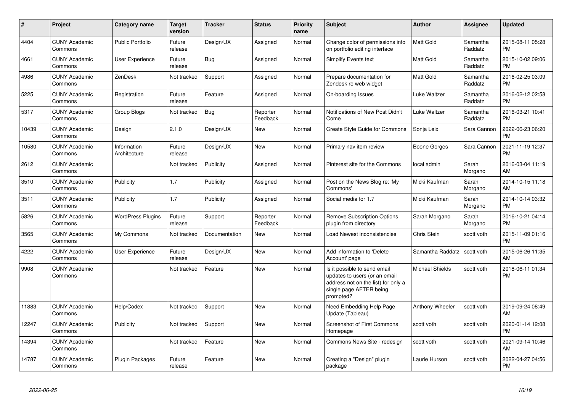| $\#$  | <b>Project</b>                  | Category name               | <b>Target</b><br>version | <b>Tracker</b> | <b>Status</b>        | <b>Priority</b><br>name | <b>Subject</b>                                                                                                                               | Author           | <b>Assignee</b>     | <b>Updated</b>                |
|-------|---------------------------------|-----------------------------|--------------------------|----------------|----------------------|-------------------------|----------------------------------------------------------------------------------------------------------------------------------------------|------------------|---------------------|-------------------------------|
| 4404  | <b>CUNY Academic</b><br>Commons | <b>Public Portfolio</b>     | Future<br>release        | Design/UX      | Assigned             | Normal                  | Change color of permissions info<br>on portfolio editing interface                                                                           | <b>Matt Gold</b> | Samantha<br>Raddatz | 2015-08-11 05:28<br><b>PM</b> |
| 4661  | <b>CUNY Academic</b><br>Commons | User Experience             | Future<br>release        | Bug            | Assigned             | Normal                  | Simplify Events text                                                                                                                         | <b>Matt Gold</b> | Samantha<br>Raddatz | 2015-10-02 09:06<br><b>PM</b> |
| 4986  | <b>CUNY Academic</b><br>Commons | ZenDesk                     | Not tracked              | Support        | Assigned             | Normal                  | Prepare documentation for<br>Zendesk re web widget                                                                                           | <b>Matt Gold</b> | Samantha<br>Raddatz | 2016-02-25 03:09<br><b>PM</b> |
| 5225  | <b>CUNY Academic</b><br>Commons | Registration                | Future<br>release        | Feature        | Assigned             | Normal                  | On-boarding Issues                                                                                                                           | Luke Waltzer     | Samantha<br>Raddatz | 2016-02-12 02:58<br><b>PM</b> |
| 5317  | <b>CUNY Academic</b><br>Commons | Group Blogs                 | Not tracked              | <b>Bug</b>     | Reporter<br>Feedback | Normal                  | Notifications of New Post Didn't<br>Come                                                                                                     | Luke Waltzer     | Samantha<br>Raddatz | 2016-03-21 10:41<br><b>PM</b> |
| 10439 | <b>CUNY Academic</b><br>Commons | Design                      | 2.1.0                    | Design/UX      | New                  | Normal                  | <b>Create Style Guide for Commons</b>                                                                                                        | Sonja Leix       | Sara Cannon         | 2022-06-23 06:20<br><b>PM</b> |
| 10580 | <b>CUNY Academic</b><br>Commons | Information<br>Architecture | Future<br>release        | Design/UX      | <b>New</b>           | Normal                  | Primary nav item review                                                                                                                      | Boone Gorges     | Sara Cannon         | 2021-11-19 12:37<br><b>PM</b> |
| 2612  | <b>CUNY Academic</b><br>Commons |                             | Not tracked              | Publicity      | Assigned             | Normal                  | Pinterest site for the Commons                                                                                                               | local admin      | Sarah<br>Morgano    | 2016-03-04 11:19<br>AM        |
| 3510  | <b>CUNY Academic</b><br>Commons | Publicity                   | 1.7                      | Publicity      | Assigned             | Normal                  | Post on the News Blog re: 'My<br>Commons'                                                                                                    | Micki Kaufman    | Sarah<br>Morgano    | 2014-10-15 11:18<br>AM        |
| 3511  | <b>CUNY Academic</b><br>Commons | Publicity                   | 1.7                      | Publicity      | Assigned             | Normal                  | Social media for 1.7                                                                                                                         | Micki Kaufman    | Sarah<br>Morgano    | 2014-10-14 03:32<br><b>PM</b> |
| 5826  | <b>CUNY Academic</b><br>Commons | <b>WordPress Plugins</b>    | Future<br>release        | Support        | Reporter<br>Feedback | Normal                  | <b>Remove Subscription Options</b><br>plugin from directory                                                                                  | Sarah Morgano    | Sarah<br>Morgano    | 2016-10-21 04:14<br><b>PM</b> |
| 3565  | <b>CUNY Academic</b><br>Commons | My Commons                  | Not tracked              | Documentation  | <b>New</b>           | Normal                  | Load Newest inconsistencies                                                                                                                  | Chris Stein      | scott voth          | 2015-11-09 01:16<br><b>PM</b> |
| 4222  | <b>CUNY Academic</b><br>Commons | User Experience             | Future<br>release        | Design/UX      | <b>New</b>           | Normal                  | Add information to 'Delete<br>Account' page                                                                                                  | Samantha Raddatz | scott voth          | 2015-06-26 11:35<br>AM        |
| 9908  | <b>CUNY Academic</b><br>Commons |                             | Not tracked              | Feature        | New                  | Normal                  | Is it possible to send email<br>updates to users (or an email<br>address not on the list) for only a<br>single page AFTER being<br>prompted? | Michael Shields  | scott voth          | 2018-06-11 01:34<br><b>PM</b> |
| 11883 | <b>CUNY Academic</b><br>Commons | Help/Codex                  | Not tracked              | Support        | <b>New</b>           | Normal                  | Need Embedding Help Page<br>Update (Tableau)                                                                                                 | Anthony Wheeler  | scott voth          | 2019-09-24 08:49<br>AM        |
| 12247 | <b>CUNY Academic</b><br>Commons | Publicity                   | Not tracked              | Support        | <b>New</b>           | Normal                  | Screenshot of First Commons<br>Homepage                                                                                                      | scott voth       | scott voth          | 2020-01-14 12:08<br><b>PM</b> |
| 14394 | <b>CUNY Academic</b><br>Commons |                             | Not tracked              | Feature        | <b>New</b>           | Normal                  | Commons News Site - redesign                                                                                                                 | scott voth       | scott voth          | 2021-09-14 10:46<br>AM        |
| 14787 | <b>CUNY Academic</b><br>Commons | Plugin Packages             | Future<br>release        | Feature        | <b>New</b>           | Normal                  | Creating a "Design" plugin<br>package                                                                                                        | Laurie Hurson    | scott voth          | 2022-04-27 04:56<br><b>PM</b> |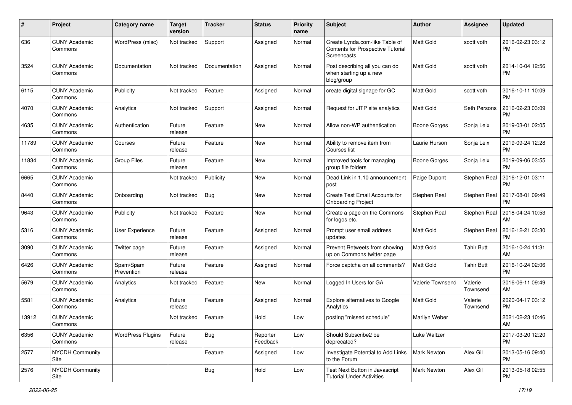| #     | Project                         | <b>Category name</b>     | Target<br>version | <b>Tracker</b> | <b>Status</b>        | <b>Priority</b><br>name | <b>Subject</b>                                                                     | Author              | Assignee            | <b>Updated</b>                |
|-------|---------------------------------|--------------------------|-------------------|----------------|----------------------|-------------------------|------------------------------------------------------------------------------------|---------------------|---------------------|-------------------------------|
| 636   | <b>CUNY Academic</b><br>Commons | WordPress (misc)         | Not tracked       | Support        | Assigned             | Normal                  | Create Lynda.com-like Table of<br>Contents for Prospective Tutorial<br>Screencasts | <b>Matt Gold</b>    | scott voth          | 2016-02-23 03:12<br><b>PM</b> |
| 3524  | <b>CUNY Academic</b><br>Commons | Documentation            | Not tracked       | Documentation  | Assigned             | Normal                  | Post describing all you can do<br>when starting up a new<br>blog/group             | <b>Matt Gold</b>    | scott voth          | 2014-10-04 12:56<br>РM        |
| 6115  | <b>CUNY Academic</b><br>Commons | Publicity                | Not tracked       | Feature        | Assigned             | Normal                  | create digital signage for GC                                                      | <b>Matt Gold</b>    | scott voth          | 2016-10-11 10:09<br><b>PM</b> |
| 4070  | <b>CUNY Academic</b><br>Commons | Analytics                | Not tracked       | Support        | Assigned             | Normal                  | Request for JITP site analytics                                                    | Matt Gold           | Seth Persons        | 2016-02-23 03:09<br><b>PM</b> |
| 4635  | <b>CUNY Academic</b><br>Commons | Authentication           | Future<br>release | Feature        | <b>New</b>           | Normal                  | Allow non-WP authentication                                                        | <b>Boone Gorges</b> | Sonja Leix          | 2019-03-01 02:05<br><b>PM</b> |
| 11789 | <b>CUNY Academic</b><br>Commons | Courses                  | Future<br>release | Feature        | <b>New</b>           | Normal                  | Ability to remove item from<br>Courses list                                        | Laurie Hurson       | Sonja Leix          | 2019-09-24 12:28<br><b>PM</b> |
| 11834 | <b>CUNY Academic</b><br>Commons | <b>Group Files</b>       | Future<br>release | Feature        | New                  | Normal                  | Improved tools for managing<br>group file folders                                  | Boone Gorges        | Sonja Leix          | 2019-09-06 03:55<br><b>PM</b> |
| 6665  | <b>CUNY Academic</b><br>Commons |                          | Not tracked       | Publicity      | New                  | Normal                  | Dead Link in 1.10 announcement<br>post                                             | Paige Dupont        | Stephen Real        | 2016-12-01 03:11<br><b>PM</b> |
| 8440  | <b>CUNY Academic</b><br>Commons | Onboarding               | Not tracked       | Bug            | <b>New</b>           | Normal                  | Create Test Email Accounts for<br><b>Onboarding Project</b>                        | Stephen Real        | Stephen Real        | 2017-08-01 09:49<br><b>PM</b> |
| 9643  | <b>CUNY Academic</b><br>Commons | Publicity                | Not tracked       | Feature        | <b>New</b>           | Normal                  | Create a page on the Commons<br>for logos etc.                                     | Stephen Real        | Stephen Real        | 2018-04-24 10:53<br>AM        |
| 5316  | <b>CUNY Academic</b><br>Commons | User Experience          | Future<br>release | Feature        | Assigned             | Normal                  | Prompt user email address<br>updates                                               | Matt Gold           | Stephen Real        | 2016-12-21 03:30<br><b>PM</b> |
| 3090  | <b>CUNY Academic</b><br>Commons | Twitter page             | Future<br>release | Feature        | Assigned             | Normal                  | Prevent Retweets from showing<br>up on Commons twitter page                        | Matt Gold           | <b>Tahir Butt</b>   | 2016-10-24 11:31<br>AM        |
| 6426  | <b>CUNY Academic</b><br>Commons | Spam/Spam<br>Prevention  | Future<br>release | Feature        | Assigned             | Normal                  | Force captcha on all comments?                                                     | Matt Gold           | <b>Tahir Butt</b>   | 2016-10-24 02:06<br><b>PM</b> |
| 5679  | <b>CUNY Academic</b><br>Commons | Analytics                | Not tracked       | Feature        | <b>New</b>           | Normal                  | Logged In Users for GA                                                             | Valerie Townsend    | Valerie<br>Townsend | 2016-06-11 09:49<br>AM        |
| 5581  | <b>CUNY Academic</b><br>Commons | Analytics                | Future<br>release | Feature        | Assigned             | Normal                  | Explore alternatives to Google<br>Analytics                                        | <b>Matt Gold</b>    | Valerie<br>Townsend | 2020-04-17 03:12<br>PM        |
| 13912 | <b>CUNY Academic</b><br>Commons |                          | Not tracked       | Feature        | Hold                 | Low                     | posting "missed schedule"                                                          | Marilyn Weber       |                     | 2021-02-23 10:46<br>AM        |
| 6356  | <b>CUNY Academic</b><br>Commons | <b>WordPress Plugins</b> | Future<br>release | <b>Bug</b>     | Reporter<br>Feedback | Low                     | Should Subscribe2 be<br>deprecated?                                                | Luke Waltzer        |                     | 2017-03-20 12:20<br><b>PM</b> |
| 2577  | <b>NYCDH Community</b><br>Site  |                          |                   | Feature        | Assigned             | Low                     | Investigate Potential to Add Links<br>to the Forum                                 | <b>Mark Newton</b>  | Alex Gil            | 2013-05-16 09:40<br>PM        |
| 2576  | NYCDH Community<br>Site         |                          |                   | <b>Bug</b>     | Hold                 | Low                     | Test Next Button in Javascript<br><b>Tutorial Under Activities</b>                 | Mark Newton         | Alex Gil            | 2013-05-18 02:55<br><b>PM</b> |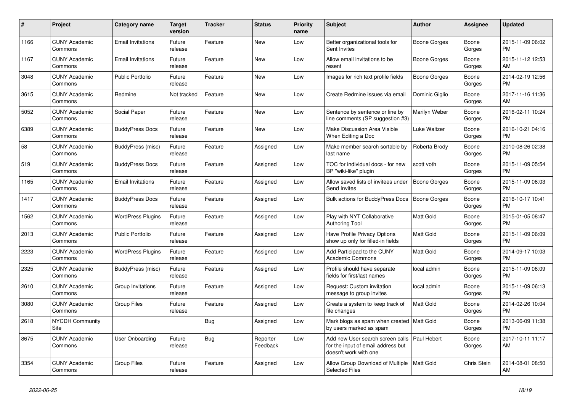| $\pmb{\#}$ | <b>Project</b>                  | <b>Category name</b>     | Target<br>version | Tracker    | <b>Status</b>        | <b>Priority</b><br>name | <b>Subject</b>                                                                                  | <b>Author</b>       | Assignee        | <b>Updated</b>                |
|------------|---------------------------------|--------------------------|-------------------|------------|----------------------|-------------------------|-------------------------------------------------------------------------------------------------|---------------------|-----------------|-------------------------------|
| 1166       | <b>CUNY Academic</b><br>Commons | <b>Email Invitations</b> | Future<br>release | Feature    | <b>New</b>           | Low                     | Better organizational tools for<br>Sent Invites                                                 | Boone Gorges        | Boone<br>Gorges | 2015-11-09 06:02<br><b>PM</b> |
| 1167       | <b>CUNY Academic</b><br>Commons | <b>Email Invitations</b> | Future<br>release | Feature    | <b>New</b>           | Low                     | Allow email invitations to be<br>resent                                                         | Boone Gorges        | Boone<br>Gorges | 2015-11-12 12:53<br>AM        |
| 3048       | <b>CUNY Academic</b><br>Commons | <b>Public Portfolio</b>  | Future<br>release | Feature    | <b>New</b>           | Low                     | Images for rich text profile fields                                                             | Boone Gorges        | Boone<br>Gorges | 2014-02-19 12:56<br><b>PM</b> |
| 3615       | <b>CUNY Academic</b><br>Commons | Redmine                  | Not tracked       | Feature    | <b>New</b>           | Low                     | Create Redmine issues via email                                                                 | Dominic Giglio      | Boone<br>Gorges | 2017-11-16 11:36<br>AM        |
| 5052       | <b>CUNY Academic</b><br>Commons | Social Paper             | Future<br>release | Feature    | <b>New</b>           | Low                     | Sentence by sentence or line by<br>line comments (SP suggestion #3)                             | Marilyn Weber       | Boone<br>Gorges | 2016-02-11 10:24<br><b>PM</b> |
| 6389       | <b>CUNY Academic</b><br>Commons | <b>BuddyPress Docs</b>   | Future<br>release | Feature    | <b>New</b>           | Low                     | Make Discussion Area Visible<br>When Editing a Doc                                              | Luke Waltzer        | Boone<br>Gorges | 2016-10-21 04:16<br><b>PM</b> |
| 58         | <b>CUNY Academic</b><br>Commons | BuddyPress (misc)        | Future<br>release | Feature    | Assigned             | Low                     | Make member search sortable by<br>last name                                                     | Roberta Brody       | Boone<br>Gorges | 2010-08-26 02:38<br><b>PM</b> |
| 519        | <b>CUNY Academic</b><br>Commons | <b>BuddyPress Docs</b>   | Future<br>release | Feature    | Assigned             | Low                     | TOC for individual docs - for new<br>BP "wiki-like" plugin                                      | scott voth          | Boone<br>Gorges | 2015-11-09 05:54<br>PM        |
| 1165       | <b>CUNY Academic</b><br>Commons | <b>Email Invitations</b> | Future<br>release | Feature    | Assigned             | Low                     | Allow saved lists of invitees under<br>Send Invites                                             | Boone Gorges        | Boone<br>Gorges | 2015-11-09 06:03<br><b>PM</b> |
| 1417       | <b>CUNY Academic</b><br>Commons | <b>BuddyPress Docs</b>   | Future<br>release | Feature    | Assigned             | Low                     | <b>Bulk actions for BuddyPress Docs</b>                                                         | <b>Boone Gorges</b> | Boone<br>Gorges | 2016-10-17 10:41<br><b>PM</b> |
| 1562       | <b>CUNY Academic</b><br>Commons | <b>WordPress Plugins</b> | Future<br>release | Feature    | Assigned             | Low                     | Play with NYT Collaborative<br><b>Authoring Tool</b>                                            | Matt Gold           | Boone<br>Gorges | 2015-01-05 08:47<br>PM        |
| 2013       | <b>CUNY Academic</b><br>Commons | <b>Public Portfolio</b>  | Future<br>release | Feature    | Assigned             | Low                     | Have Profile Privacy Options<br>show up only for filled-in fields                               | Matt Gold           | Boone<br>Gorges | 2015-11-09 06:09<br><b>PM</b> |
| 2223       | <b>CUNY Academic</b><br>Commons | <b>WordPress Plugins</b> | Future<br>release | Feature    | Assigned             | Low                     | Add Participad to the CUNY<br><b>Academic Commons</b>                                           | Matt Gold           | Boone<br>Gorges | 2014-09-17 10:03<br><b>PM</b> |
| 2325       | <b>CUNY Academic</b><br>Commons | BuddyPress (misc)        | Future<br>release | Feature    | Assigned             | Low                     | Profile should have separate<br>fields for first/last names                                     | local admin         | Boone<br>Gorges | 2015-11-09 06:09<br><b>PM</b> |
| 2610       | <b>CUNY Academic</b><br>Commons | Group Invitations        | Future<br>release | Feature    | Assigned             | Low                     | Request: Custom invitation<br>message to group invites                                          | local admin         | Boone<br>Gorges | 2015-11-09 06:13<br><b>PM</b> |
| 3080       | <b>CUNY Academic</b><br>Commons | <b>Group Files</b>       | Future<br>release | Feature    | Assigned             | Low                     | Create a system to keep track of<br>file changes                                                | Matt Gold           | Boone<br>Gorges | 2014-02-26 10:04<br><b>PM</b> |
| 2618       | <b>NYCDH Community</b><br>Site  |                          |                   | <b>Bug</b> | Assigned             | Low                     | Mark blogs as spam when created   Matt Gold<br>by users marked as spam                          |                     | Boone<br>Gorges | 2013-06-09 11:38<br><b>PM</b> |
| 8675       | <b>CUNY Academic</b><br>Commons | User Onboarding          | Future<br>release | <b>Bug</b> | Reporter<br>Feedback | Low                     | Add new User search screen calls<br>for the input of email address but<br>doesn't work with one | Paul Hebert         | Boone<br>Gorges | 2017-10-11 11:17<br>AM        |
| 3354       | <b>CUNY Academic</b><br>Commons | <b>Group Files</b>       | Future<br>release | Feature    | Assigned             | Low                     | Allow Group Download of Multiple<br><b>Selected Files</b>                                       | <b>Matt Gold</b>    | Chris Stein     | 2014-08-01 08:50<br><b>AM</b> |